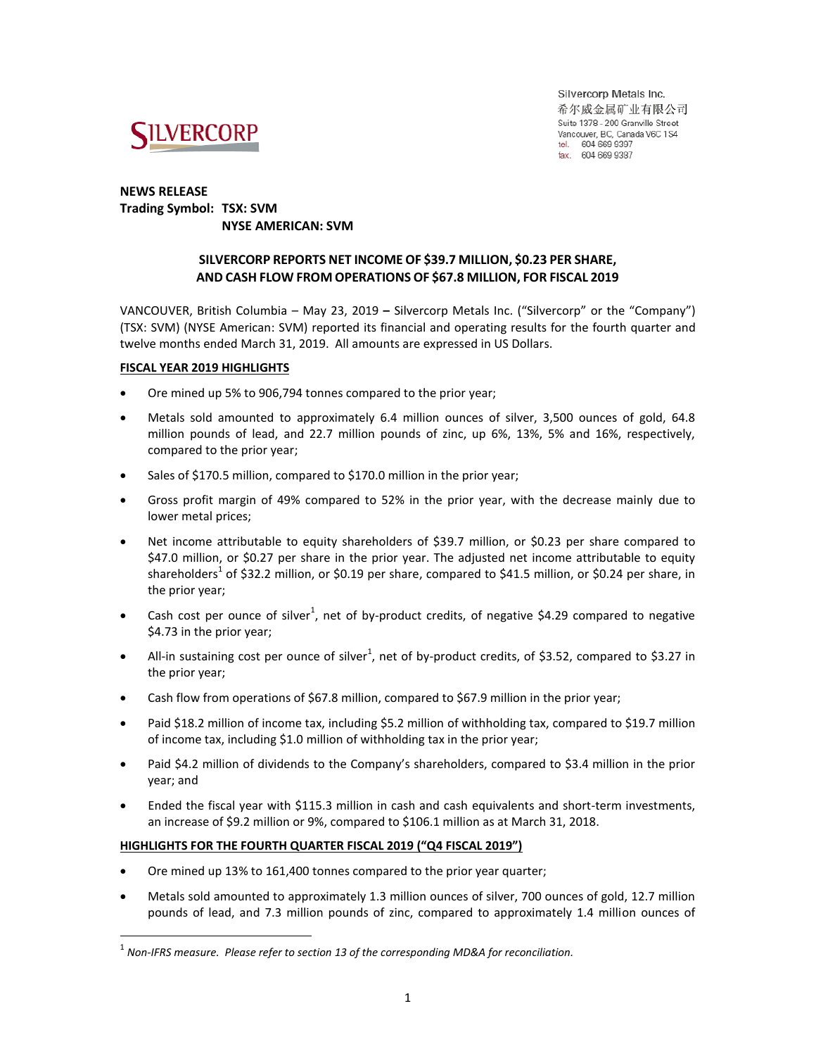

Silvercorp Metals Inc. 希尔威金属矿业有限公司 Suite 1378 - 200 Granville Street Vancouver, BC, Canada V6C 1S4 tel. 604 669 9397 fax. 604 669 9387

## **NEWS RELEASE Trading Symbol: TSX: SVM NYSE AMERICAN: SVM**

## **SILVERCORP REPORTS NET INCOME OF \$39.7 MILLION, \$0.23 PER SHARE, AND CASH FLOW FROM OPERATIONS OF \$67.8 MILLION, FOR FISCAL 2019**

VANCOUVER, British Columbia – May 23, 2019 **–** Silvercorp Metals Inc. ("Silvercorp" or the "Company") (TSX: SVM) (NYSE American: SVM) reported its financial and operating results for the fourth quarter and twelve months ended March 31, 2019. All amounts are expressed in US Dollars.

## **FISCAL YEAR 2019 HIGHLIGHTS**

 $\overline{a}$ 

- Ore mined up 5% to 906,794 tonnes compared to the prior year;
- Metals sold amounted to approximately 6.4 million ounces of silver, 3,500 ounces of gold, 64.8 million pounds of lead, and 22.7 million pounds of zinc, up 6%, 13%, 5% and 16%, respectively, compared to the prior year;
- Sales of \$170.5 million, compared to \$170.0 million in the prior year;
- Gross profit margin of 49% compared to 52% in the prior year, with the decrease mainly due to lower metal prices;
- Net income attributable to equity shareholders of \$39.7 million, or \$0.23 per share compared to \$47.0 million, or \$0.27 per share in the prior year. The adjusted net income attributable to equity shareholders<sup>1</sup> of \$32.2 million, or \$0.19 per share, compared to \$41.5 million, or \$0.24 per share, in the prior year;
- Cash cost per ounce of silver<sup>1</sup>, net of by-product credits, of negative \$4.29 compared to negative \$4.73 in the prior year;
- All-in sustaining cost per ounce of silver<sup>1</sup>, net of by-product credits, of \$3.52, compared to \$3.27 in the prior year;
- Cash flow from operations of \$67.8 million, compared to \$67.9 million in the prior year;
- Paid \$18.2 million of income tax, including \$5.2 million of withholding tax, compared to \$19.7 million of income tax, including \$1.0 million of withholding tax in the prior year;
- Paid \$4.2 million of dividends to the Company's shareholders, compared to \$3.4 million in the prior year; and
- Ended the fiscal year with \$115.3 million in cash and cash equivalents and short-term investments, an increase of \$9.2 million or 9%, compared to \$106.1 million as at March 31, 2018.

## **HIGHLIGHTS FOR THE FOURTH QUARTER FISCAL 2019 ("Q4 FISCAL 2019")**

- Ore mined up 13% to 161,400 tonnes compared to the prior year quarter;
- Metals sold amounted to approximately 1.3 million ounces of silver, 700 ounces of gold, 12.7 million pounds of lead, and 7.3 million pounds of zinc, compared to approximately 1.4 million ounces of

<sup>1</sup> *Non-IFRS measure. Please refer to section 13 of the corresponding MD&A for reconciliation.*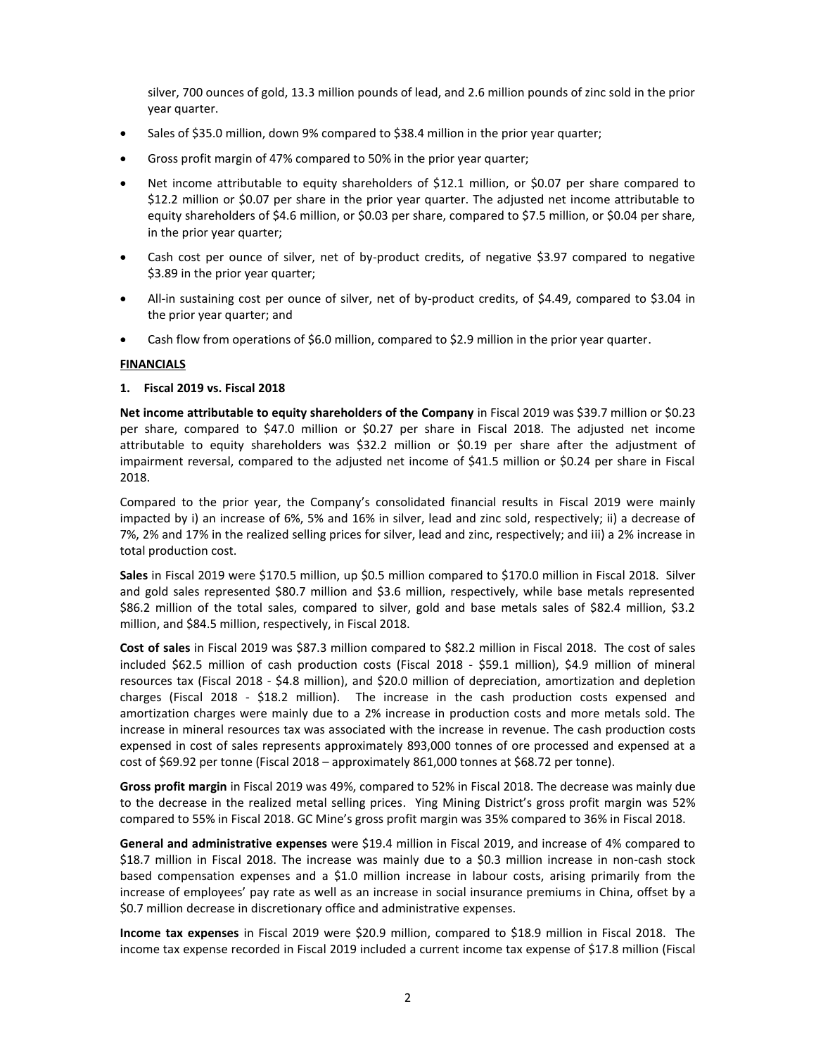silver, 700 ounces of gold, 13.3 million pounds of lead, and 2.6 million pounds of zinc sold in the prior year quarter.

- Sales of \$35.0 million, down 9% compared to \$38.4 million in the prior year quarter;
- Gross profit margin of 47% compared to 50% in the prior year quarter;
- Net income attributable to equity shareholders of \$12.1 million, or \$0.07 per share compared to \$12.2 million or \$0.07 per share in the prior year quarter. The adjusted net income attributable to equity shareholders of \$4.6 million, or \$0.03 per share, compared to \$7.5 million, or \$0.04 per share, in the prior year quarter;
- Cash cost per ounce of silver, net of by-product credits, of negative \$3.97 compared to negative \$3.89 in the prior year quarter;
- All-in sustaining cost per ounce of silver, net of by-product credits, of \$4.49, compared to \$3.04 in the prior year quarter; and
- Cash flow from operations of \$6.0 million, compared to \$2.9 million in the prior year quarter.

### **FINANCIALS**

### **1. Fiscal 2019 vs. Fiscal 2018**

**Net income attributable to equity shareholders of the Company** in Fiscal 2019 was \$39.7 million or \$0.23 per share, compared to \$47.0 million or \$0.27 per share in Fiscal 2018. The adjusted net income attributable to equity shareholders was \$32.2 million or \$0.19 per share after the adjustment of impairment reversal, compared to the adjusted net income of \$41.5 million or \$0.24 per share in Fiscal 2018.

Compared to the prior year, the Company's consolidated financial results in Fiscal 2019 were mainly impacted by i) an increase of 6%, 5% and 16% in silver, lead and zinc sold, respectively; ii) a decrease of 7%, 2% and 17% in the realized selling prices for silver, lead and zinc, respectively; and iii) a 2% increase in total production cost.

**Sales** in Fiscal 2019 were \$170.5 million, up \$0.5 million compared to \$170.0 million in Fiscal 2018. Silver and gold sales represented \$80.7 million and \$3.6 million, respectively, while base metals represented \$86.2 million of the total sales, compared to silver, gold and base metals sales of \$82.4 million, \$3.2 million, and \$84.5 million, respectively, in Fiscal 2018.

**Cost of sales** in Fiscal 2019 was \$87.3 million compared to \$82.2 million in Fiscal 2018. The cost of sales included \$62.5 million of cash production costs (Fiscal 2018 - \$59.1 million), \$4.9 million of mineral resources tax (Fiscal 2018 - \$4.8 million), and \$20.0 million of depreciation, amortization and depletion charges (Fiscal 2018 - \$18.2 million). The increase in the cash production costs expensed and amortization charges were mainly due to a 2% increase in production costs and more metals sold. The increase in mineral resources tax was associated with the increase in revenue. The cash production costs expensed in cost of sales represents approximately 893,000 tonnes of ore processed and expensed at a cost of \$69.92 per tonne (Fiscal 2018 – approximately 861,000 tonnes at \$68.72 per tonne).

**Gross profit margin** in Fiscal 2019 was 49%, compared to 52% in Fiscal 2018. The decrease was mainly due to the decrease in the realized metal selling prices. Ying Mining District's gross profit margin was 52% compared to 55% in Fiscal 2018. GC Mine's gross profit margin was 35% compared to 36% in Fiscal 2018.

**General and administrative expenses** were \$19.4 million in Fiscal 2019, and increase of 4% compared to \$18.7 million in Fiscal 2018. The increase was mainly due to a \$0.3 million increase in non-cash stock based compensation expenses and a \$1.0 million increase in labour costs, arising primarily from the increase of employees' pay rate as well as an increase in social insurance premiums in China, offset by a \$0.7 million decrease in discretionary office and administrative expenses.

**Income tax expenses** in Fiscal 2019 were \$20.9 million, compared to \$18.9 million in Fiscal 2018. The income tax expense recorded in Fiscal 2019 included a current income tax expense of \$17.8 million (Fiscal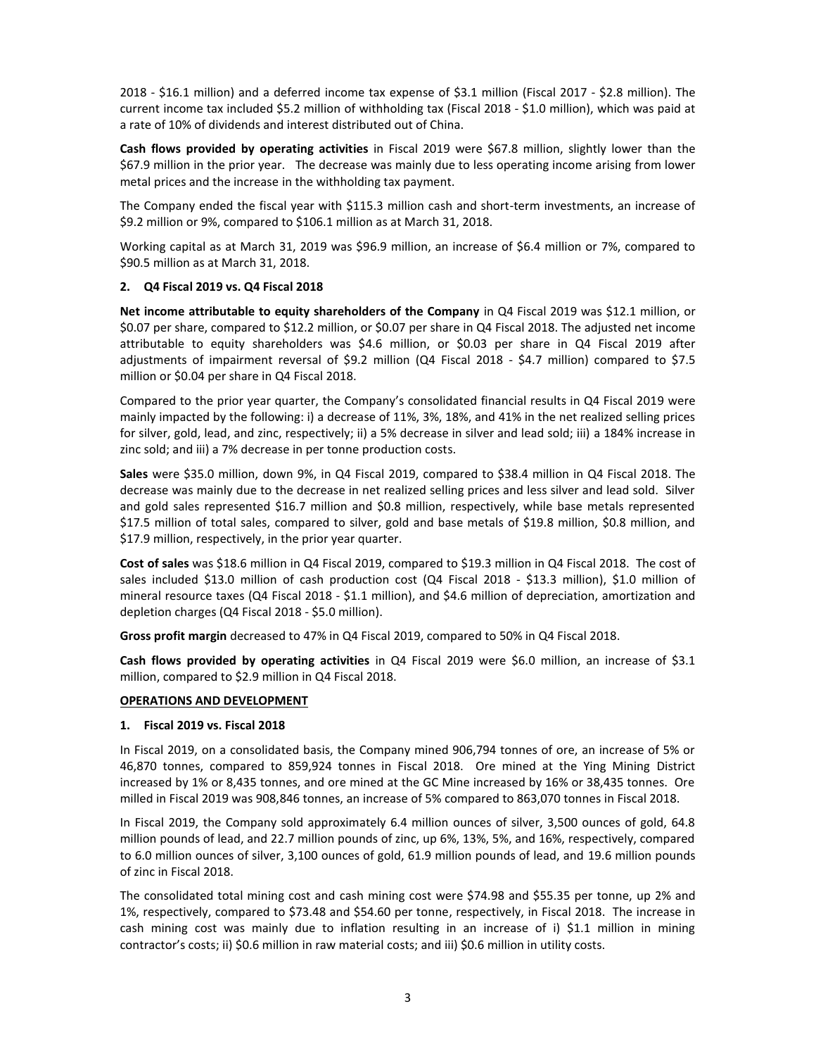2018 - \$16.1 million) and a deferred income tax expense of \$3.1 million (Fiscal 2017 - \$2.8 million). The current income tax included \$5.2 million of withholding tax (Fiscal 2018 - \$1.0 million), which was paid at a rate of 10% of dividends and interest distributed out of China.

**Cash flows provided by operating activities** in Fiscal 2019 were \$67.8 million, slightly lower than the \$67.9 million in the prior year. The decrease was mainly due to less operating income arising from lower metal prices and the increase in the withholding tax payment.

The Company ended the fiscal year with \$115.3 million cash and short-term investments, an increase of \$9.2 million or 9%, compared to \$106.1 million as at March 31, 2018.

Working capital as at March 31, 2019 was \$96.9 million, an increase of \$6.4 million or 7%, compared to \$90.5 million as at March 31, 2018.

## **2. Q4 Fiscal 2019 vs. Q4 Fiscal 2018**

**Net income attributable to equity shareholders of the Company** in Q4 Fiscal 2019 was \$12.1 million, or \$0.07 per share, compared to \$12.2 million, or \$0.07 per share in Q4 Fiscal 2018. The adjusted net income attributable to equity shareholders was \$4.6 million, or \$0.03 per share in Q4 Fiscal 2019 after adjustments of impairment reversal of \$9.2 million (Q4 Fiscal 2018 - \$4.7 million) compared to \$7.5 million or \$0.04 per share in Q4 Fiscal 2018.

Compared to the prior year quarter, the Company's consolidated financial results in Q4 Fiscal 2019 were mainly impacted by the following: i) a decrease of 11%, 3%, 18%, and 41% in the net realized selling prices for silver, gold, lead, and zinc, respectively; ii) a 5% decrease in silver and lead sold; iii) a 184% increase in zinc sold; and iii) a 7% decrease in per tonne production costs.

**Sales** were \$35.0 million, down 9%, in Q4 Fiscal 2019, compared to \$38.4 million in Q4 Fiscal 2018. The decrease was mainly due to the decrease in net realized selling prices and less silver and lead sold. Silver and gold sales represented \$16.7 million and \$0.8 million, respectively, while base metals represented \$17.5 million of total sales, compared to silver, gold and base metals of \$19.8 million, \$0.8 million, and \$17.9 million, respectively, in the prior year quarter.

**Cost of sales** was \$18.6 million in Q4 Fiscal 2019, compared to \$19.3 million in Q4 Fiscal 2018. The cost of sales included \$13.0 million of cash production cost (Q4 Fiscal 2018 - \$13.3 million), \$1.0 million of mineral resource taxes (Q4 Fiscal 2018 - \$1.1 million), and \$4.6 million of depreciation, amortization and depletion charges (Q4 Fiscal 2018 - \$5.0 million).

**Gross profit margin** decreased to 47% in Q4 Fiscal 2019, compared to 50% in Q4 Fiscal 2018.

**Cash flows provided by operating activities** in Q4 Fiscal 2019 were \$6.0 million, an increase of \$3.1 million, compared to \$2.9 million in Q4 Fiscal 2018.

#### **OPERATIONS AND DEVELOPMENT**

## **1. Fiscal 2019 vs. Fiscal 2018**

In Fiscal 2019, on a consolidated basis, the Company mined 906,794 tonnes of ore, an increase of 5% or 46,870 tonnes, compared to 859,924 tonnes in Fiscal 2018. Ore mined at the Ying Mining District increased by 1% or 8,435 tonnes, and ore mined at the GC Mine increased by 16% or 38,435 tonnes. Ore milled in Fiscal 2019 was 908,846 tonnes, an increase of 5% compared to 863,070 tonnes in Fiscal 2018.

In Fiscal 2019, the Company sold approximately 6.4 million ounces of silver, 3,500 ounces of gold, 64.8 million pounds of lead, and 22.7 million pounds of zinc, up 6%, 13%, 5%, and 16%, respectively, compared to 6.0 million ounces of silver, 3,100 ounces of gold, 61.9 million pounds of lead, and 19.6 million pounds of zinc in Fiscal 2018.

The consolidated total mining cost and cash mining cost were \$74.98 and \$55.35 per tonne, up 2% and 1%, respectively, compared to \$73.48 and \$54.60 per tonne, respectively, in Fiscal 2018. The increase in cash mining cost was mainly due to inflation resulting in an increase of i) \$1.1 million in mining contractor's costs; ii) \$0.6 million in raw material costs; and iii) \$0.6 million in utility costs.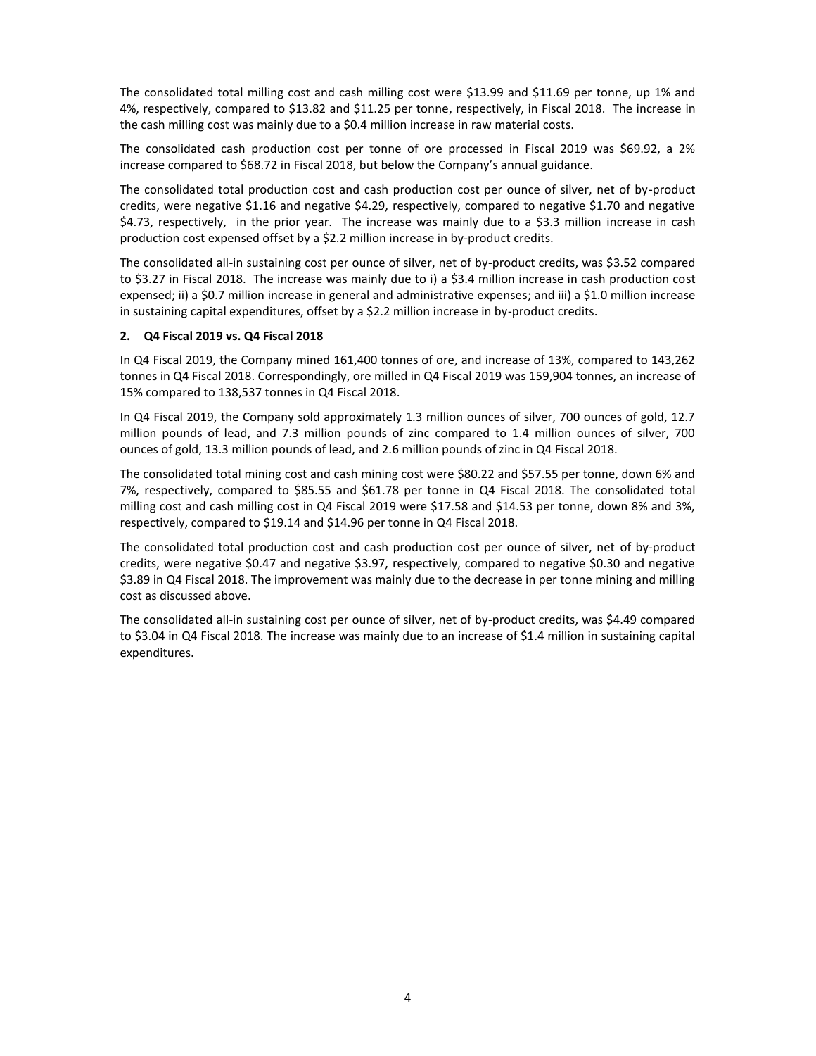The consolidated total milling cost and cash milling cost were \$13.99 and \$11.69 per tonne, up 1% and 4%, respectively, compared to \$13.82 and \$11.25 per tonne, respectively, in Fiscal 2018. The increase in the cash milling cost was mainly due to a \$0.4 million increase in raw material costs.

The consolidated cash production cost per tonne of ore processed in Fiscal 2019 was \$69.92, a 2% increase compared to \$68.72 in Fiscal 2018, but below the Company's annual guidance.

The consolidated total production cost and cash production cost per ounce of silver, net of by-product credits, were negative \$1.16 and negative \$4.29, respectively, compared to negative \$1.70 and negative \$4.73, respectively, in the prior year. The increase was mainly due to a \$3.3 million increase in cash production cost expensed offset by a \$2.2 million increase in by-product credits.

The consolidated all-in sustaining cost per ounce of silver, net of by-product credits, was \$3.52 compared to \$3.27 in Fiscal 2018. The increase was mainly due to i) a \$3.4 million increase in cash production cost expensed; ii) a \$0.7 million increase in general and administrative expenses; and iii) a \$1.0 million increase in sustaining capital expenditures, offset by a \$2.2 million increase in by-product credits.

### **2. Q4 Fiscal 2019 vs. Q4 Fiscal 2018**

In Q4 Fiscal 2019, the Company mined 161,400 tonnes of ore, and increase of 13%, compared to 143,262 tonnes in Q4 Fiscal 2018. Correspondingly, ore milled in Q4 Fiscal 2019 was 159,904 tonnes, an increase of 15% compared to 138,537 tonnes in Q4 Fiscal 2018.

In Q4 Fiscal 2019, the Company sold approximately 1.3 million ounces of silver, 700 ounces of gold, 12.7 million pounds of lead, and 7.3 million pounds of zinc compared to 1.4 million ounces of silver, 700 ounces of gold, 13.3 million pounds of lead, and 2.6 million pounds of zinc in Q4 Fiscal 2018.

The consolidated total mining cost and cash mining cost were \$80.22 and \$57.55 per tonne, down 6% and 7%, respectively, compared to \$85.55 and \$61.78 per tonne in Q4 Fiscal 2018. The consolidated total milling cost and cash milling cost in Q4 Fiscal 2019 were \$17.58 and \$14.53 per tonne, down 8% and 3%, respectively, compared to \$19.14 and \$14.96 per tonne in Q4 Fiscal 2018.

The consolidated total production cost and cash production cost per ounce of silver, net of by-product credits, were negative \$0.47 and negative \$3.97, respectively, compared to negative \$0.30 and negative \$3.89 in Q4 Fiscal 2018. The improvement was mainly due to the decrease in per tonne mining and milling cost as discussed above.

The consolidated all-in sustaining cost per ounce of silver, net of by-product credits, was \$4.49 compared to \$3.04 in Q4 Fiscal 2018. The increase was mainly due to an increase of \$1.4 million in sustaining capital expenditures.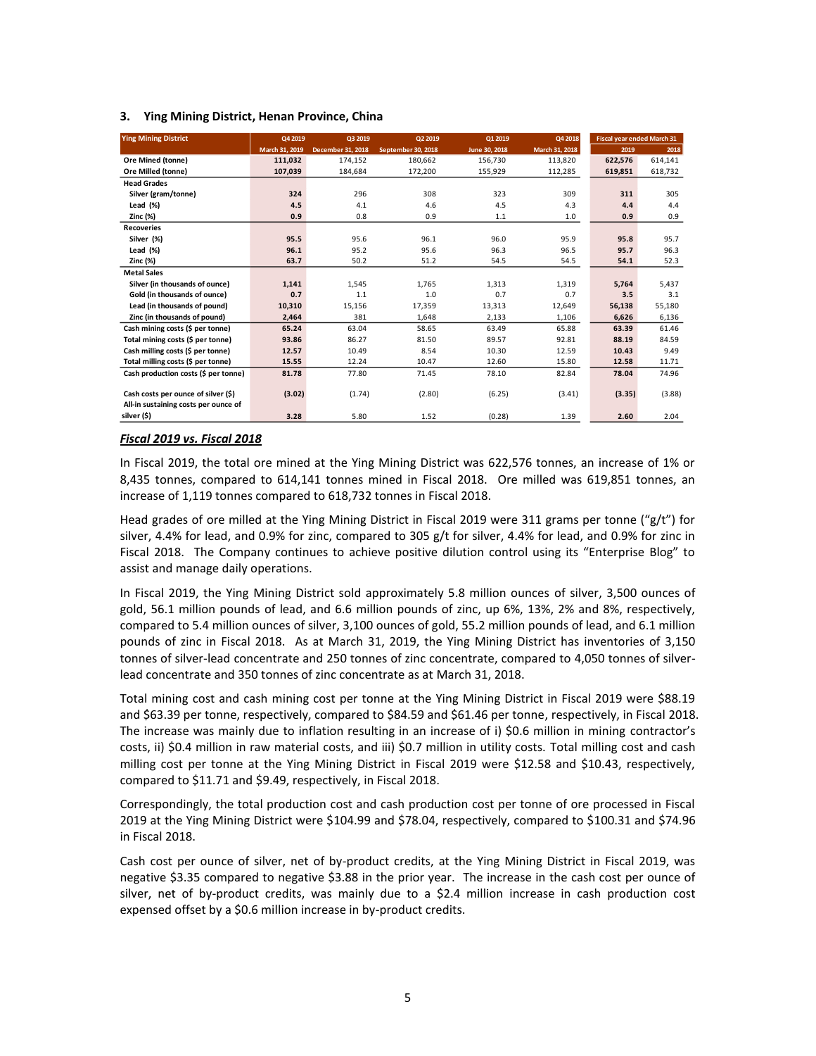#### **3. Ying Mining District, Henan Province, China**

| <b>Ying Mining District</b>          | Q4 2019        | Q3 2019           | Q2 2019            | Q1 2019       | Q4 2018        | Fiscal year ended March 31 |         |
|--------------------------------------|----------------|-------------------|--------------------|---------------|----------------|----------------------------|---------|
|                                      | March 31, 2019 | December 31, 2018 | September 30, 2018 | June 30, 2018 | March 31, 2018 | 2019                       | 2018    |
| Ore Mined (tonne)                    | 111,032        | 174,152           | 180.662            | 156,730       | 113,820        | 622,576                    | 614,141 |
| Ore Milled (tonne)                   | 107,039        | 184,684           | 172,200            | 155,929       | 112,285        | 619,851                    | 618,732 |
| <b>Head Grades</b>                   |                |                   |                    |               |                |                            |         |
| Silver (gram/tonne)                  | 324            | 296               | 308                | 323           | 309            | 311                        | 305     |
| Lead $(\%)$                          | 4.5            | 4.1               | 4.6                | 4.5           | 4.3            | 4.4                        | 4.4     |
| Zinc (%)                             | 0.9            | 0.8               | 0.9                | 1.1           | 1.0            | 0.9                        | 0.9     |
| <b>Recoveries</b>                    |                |                   |                    |               |                |                            |         |
| Silver (%)                           | 95.5           | 95.6              | 96.1               | 96.0          | 95.9           | 95.8                       | 95.7    |
| Lead (%)                             | 96.1           | 95.2              | 95.6               | 96.3          | 96.5           | 95.7                       | 96.3    |
| Zinc (%)                             | 63.7           | 50.2              | 51.2               | 54.5          | 54.5           | 54.1                       | 52.3    |
| <b>Metal Sales</b>                   |                |                   |                    |               |                |                            |         |
| Silver (in thousands of ounce)       | 1.141          | 1.545             | 1.765              | 1,313         | 1,319          | 5.764                      | 5,437   |
| Gold (in thousands of ounce)         | 0.7            | 1.1               | 1.0                | 0.7           | 0.7            | 3.5                        | 3.1     |
| Lead (in thousands of pound)         | 10,310         | 15,156            | 17,359             | 13,313        | 12,649         | 56,138                     | 55,180  |
| Zinc (in thousands of pound)         | 2,464          | 381               | 1.648              | 2,133         | 1,106          | 6,626                      | 6,136   |
| Cash mining costs (\$ per tonne)     | 65.24          | 63.04             | 58.65              | 63.49         | 65.88          | 63.39                      | 61.46   |
| Total mining costs (\$ per tonne)    | 93.86          | 86.27             | 81.50              | 89.57         | 92.81          | 88.19                      | 84.59   |
| Cash milling costs (\$ per tonne)    | 12.57          | 10.49             | 8.54               | 10.30         | 12.59          | 10.43                      | 9.49    |
| Total milling costs (\$ per tonne)   | 15.55          | 12.24             | 10.47              | 12.60         | 15.80          | 12.58                      | 11.71   |
| Cash production costs (\$ per tonne) | 81.78          | 77.80             | 71.45              | 78.10         | 82.84          | 78.04                      | 74.96   |
|                                      |                |                   |                    |               |                |                            |         |
| Cash costs per ounce of silver (\$)  | (3.02)         | (1.74)            | (2.80)             | (6.25)        | (3.41)         | (3.35)                     | (3.88)  |
| All-in sustaining costs per ounce of |                |                   |                    |               |                |                            |         |
| silver (\$)                          | 3.28           | 5.80              | 1.52               | (0.28)        | 1.39           | 2.60                       | 2.04    |

#### *Fiscal 2019 vs. Fiscal 2018*

In Fiscal 2019, the total ore mined at the Ying Mining District was 622,576 tonnes, an increase of 1% or 8,435 tonnes, compared to 614,141 tonnes mined in Fiscal 2018. Ore milled was 619,851 tonnes, an increase of 1,119 tonnes compared to 618,732 tonnes in Fiscal 2018.

Head grades of ore milled at the Ying Mining District in Fiscal 2019 were 311 grams per tonne ("g/t") for silver, 4.4% for lead, and 0.9% for zinc, compared to 305 g/t for silver, 4.4% for lead, and 0.9% for zinc in Fiscal 2018. The Company continues to achieve positive dilution control using its "Enterprise Blog" to assist and manage daily operations.

In Fiscal 2019, the Ying Mining District sold approximately 5.8 million ounces of silver, 3,500 ounces of gold, 56.1 million pounds of lead, and 6.6 million pounds of zinc, up 6%, 13%, 2% and 8%, respectively, compared to 5.4 million ounces of silver, 3,100 ounces of gold, 55.2 million pounds of lead, and 6.1 million pounds of zinc in Fiscal 2018. As at March 31, 2019, the Ying Mining District has inventories of 3,150 tonnes of silver-lead concentrate and 250 tonnes of zinc concentrate, compared to 4,050 tonnes of silverlead concentrate and 350 tonnes of zinc concentrate as at March 31, 2018.

Total mining cost and cash mining cost per tonne at the Ying Mining District in Fiscal 2019 were \$88.19 and \$63.39 per tonne, respectively, compared to \$84.59 and \$61.46 per tonne, respectively, in Fiscal 2018. The increase was mainly due to inflation resulting in an increase of i) \$0.6 million in mining contractor's costs, ii) \$0.4 million in raw material costs, and iii) \$0.7 million in utility costs. Total milling cost and cash milling cost per tonne at the Ying Mining District in Fiscal 2019 were \$12.58 and \$10.43, respectively, compared to \$11.71 and \$9.49, respectively, in Fiscal 2018.

Correspondingly, the total production cost and cash production cost per tonne of ore processed in Fiscal 2019 at the Ying Mining District were \$104.99 and \$78.04, respectively, compared to \$100.31 and \$74.96 in Fiscal 2018.

Cash cost per ounce of silver, net of by-product credits, at the Ying Mining District in Fiscal 2019, was negative \$3.35 compared to negative \$3.88 in the prior year. The increase in the cash cost per ounce of silver, net of by-product credits, was mainly due to a \$2.4 million increase in cash production cost expensed offset by a \$0.6 million increase in by-product credits.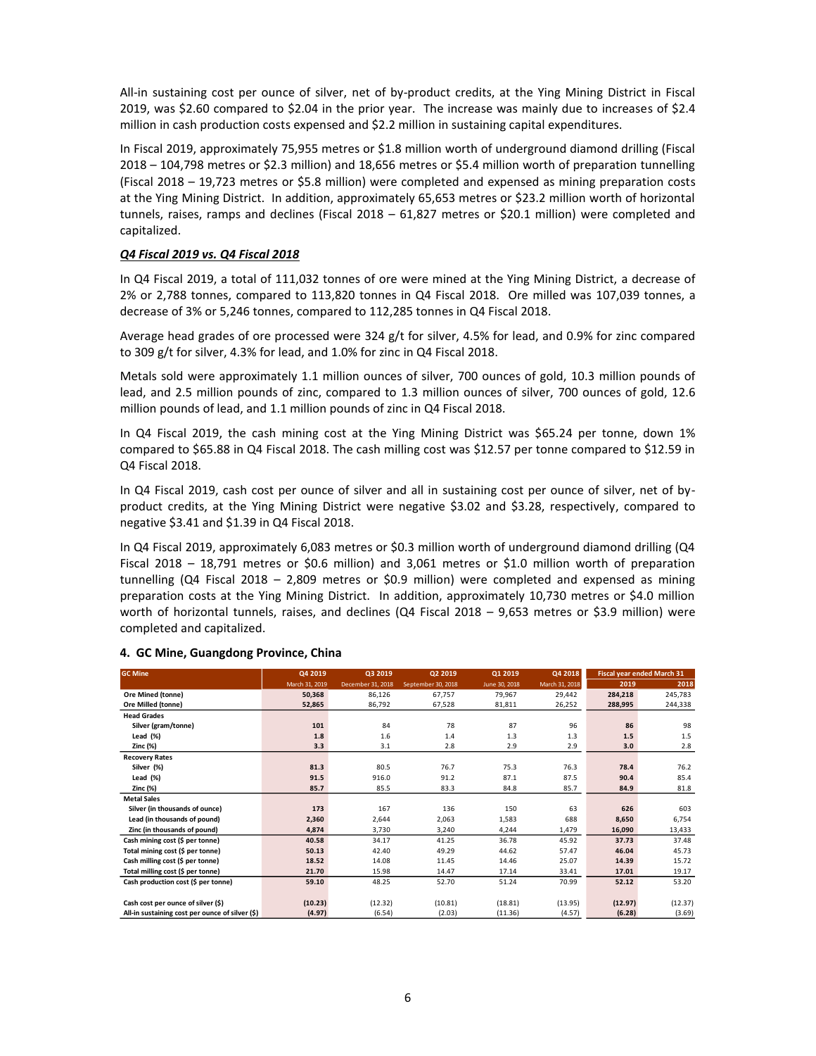All-in sustaining cost per ounce of silver, net of by-product credits, at the Ying Mining District in Fiscal 2019, was \$2.60 compared to \$2.04 in the prior year. The increase was mainly due to increases of \$2.4 million in cash production costs expensed and \$2.2 million in sustaining capital expenditures.

In Fiscal 2019, approximately 75,955 metres or \$1.8 million worth of underground diamond drilling (Fiscal 2018 – 104,798 metres or \$2.3 million) and 18,656 metres or \$5.4 million worth of preparation tunnelling (Fiscal 2018 – 19,723 metres or \$5.8 million) were completed and expensed as mining preparation costs at the Ying Mining District. In addition, approximately 65,653 metres or \$23.2 million worth of horizontal tunnels, raises, ramps and declines (Fiscal 2018 – 61,827 metres or \$20.1 million) were completed and capitalized.

### *Q4 Fiscal 2019 vs. Q4 Fiscal 2018*

In Q4 Fiscal 2019, a total of 111,032 tonnes of ore were mined at the Ying Mining District, a decrease of 2% or 2,788 tonnes, compared to 113,820 tonnes in Q4 Fiscal 2018. Ore milled was 107,039 tonnes, a decrease of 3% or 5,246 tonnes, compared to 112,285 tonnes in Q4 Fiscal 2018.

Average head grades of ore processed were 324 g/t for silver, 4.5% for lead, and 0.9% for zinc compared to 309 g/t for silver, 4.3% for lead, and 1.0% for zinc in Q4 Fiscal 2018.

Metals sold were approximately 1.1 million ounces of silver, 700 ounces of gold, 10.3 million pounds of lead, and 2.5 million pounds of zinc, compared to 1.3 million ounces of silver, 700 ounces of gold, 12.6 million pounds of lead, and 1.1 million pounds of zinc in Q4 Fiscal 2018.

In Q4 Fiscal 2019, the cash mining cost at the Ying Mining District was \$65.24 per tonne, down 1% compared to \$65.88 in Q4 Fiscal 2018. The cash milling cost was \$12.57 per tonne compared to \$12.59 in Q4 Fiscal 2018.

In Q4 Fiscal 2019, cash cost per ounce of silver and all in sustaining cost per ounce of silver, net of byproduct credits, at the Ying Mining District were negative \$3.02 and \$3.28, respectively, compared to negative \$3.41 and \$1.39 in Q4 Fiscal 2018.

In Q4 Fiscal 2019, approximately 6,083 metres or \$0.3 million worth of underground diamond drilling (Q4 Fiscal 2018 – 18,791 metres or \$0.6 million) and 3,061 metres or \$1.0 million worth of preparation tunnelling (Q4 Fiscal 2018 – 2,809 metres or \$0.9 million) were completed and expensed as mining preparation costs at the Ying Mining District. In addition, approximately 10,730 metres or \$4.0 million worth of horizontal tunnels, raises, and declines (Q4 Fiscal 2018 – 9,653 metres or \$3.9 million) were completed and capitalized.

| <b>GC Mine</b>                                  | Q4 2019        | Q3 2019           | Q2 2019            | Q1 2019       | Q4 2018        |         | <b>Fiscal year ended March 31</b> |
|-------------------------------------------------|----------------|-------------------|--------------------|---------------|----------------|---------|-----------------------------------|
|                                                 | March 31, 2019 | December 31, 2018 | September 30, 2018 | June 30, 2018 | March 31, 2018 | 2019    | 2018                              |
| Ore Mined (tonne)                               | 50,368         | 86,126            | 67.757             | 79.967        | 29,442         | 284,218 | 245,783                           |
| Ore Milled (tonne)                              | 52,865         | 86,792            | 67,528             | 81,811        | 26,252         | 288,995 | 244,338                           |
| <b>Head Grades</b>                              |                |                   |                    |               |                |         |                                   |
| Silver (gram/tonne)                             | 101            | 84                | 78                 | 87            | 96             | 86      | 98                                |
| Lead $(\%)$                                     | 1.8            | 1.6               | 1.4                | 1.3           | 1.3            | 1.5     | 1.5                               |
| Zinc (%)                                        | 3.3            | 3.1               | 2.8                | 2.9           | 2.9            | 3.0     | 2.8                               |
| <b>Recovery Rates</b>                           |                |                   |                    |               |                |         |                                   |
| Silver (%)                                      | 81.3           | 80.5              | 76.7               | 75.3          | 76.3           | 78.4    | 76.2                              |
| Lead $(\%)$                                     | 91.5           | 916.0             | 91.2               | 87.1          | 87.5           | 90.4    | 85.4                              |
| Zinc (%)                                        | 85.7           | 85.5              | 83.3               | 84.8          | 85.7           | 84.9    | 81.8                              |
| <b>Metal Sales</b>                              |                |                   |                    |               |                |         |                                   |
| Silver (in thousands of ounce)                  | 173            | 167               | 136                | 150           | 63             | 626     | 603                               |
| Lead (in thousands of pound)                    | 2,360          | 2,644             | 2,063              | 1,583         | 688            | 8,650   | 6,754                             |
| Zinc (in thousands of pound)                    | 4,874          | 3.730             | 3,240              | 4,244         | 1,479          | 16,090  | 13,433                            |
| Cash mining cost (\$ per tonne)                 | 40.58          | 34.17             | 41.25              | 36.78         | 45.92          | 37.73   | 37.48                             |
| Total mining cost (\$ per tonne)                | 50.13          | 42.40             | 49.29              | 44.62         | 57.47          | 46.04   | 45.73                             |
| Cash milling cost (\$ per tonne)                | 18.52          | 14.08             | 11.45              | 14.46         | 25.07          | 14.39   | 15.72                             |
| Total milling cost (\$ per tonne)               | 21.70          | 15.98             | 14.47              | 17.14         | 33.41          | 17.01   | 19.17                             |
| Cash production cost (\$ per tonne)             | 59.10          | 48.25             | 52.70              | 51.24         | 70.99          | 52.12   | 53.20                             |
|                                                 |                |                   |                    |               |                |         |                                   |
| Cash cost per ounce of silver (\$)              | (10.23)        | (12.32)           | (10.81)            | (18.81)       | (13.95)        | (12.97) | (12.37)                           |
| All-in sustaining cost per ounce of silver (\$) | (4.97)         | (6.54)            | (2.03)             | (11.36)       | (4.57)         | (6.28)  | (3.69)                            |

### **4. GC Mine, Guangdong Province, China**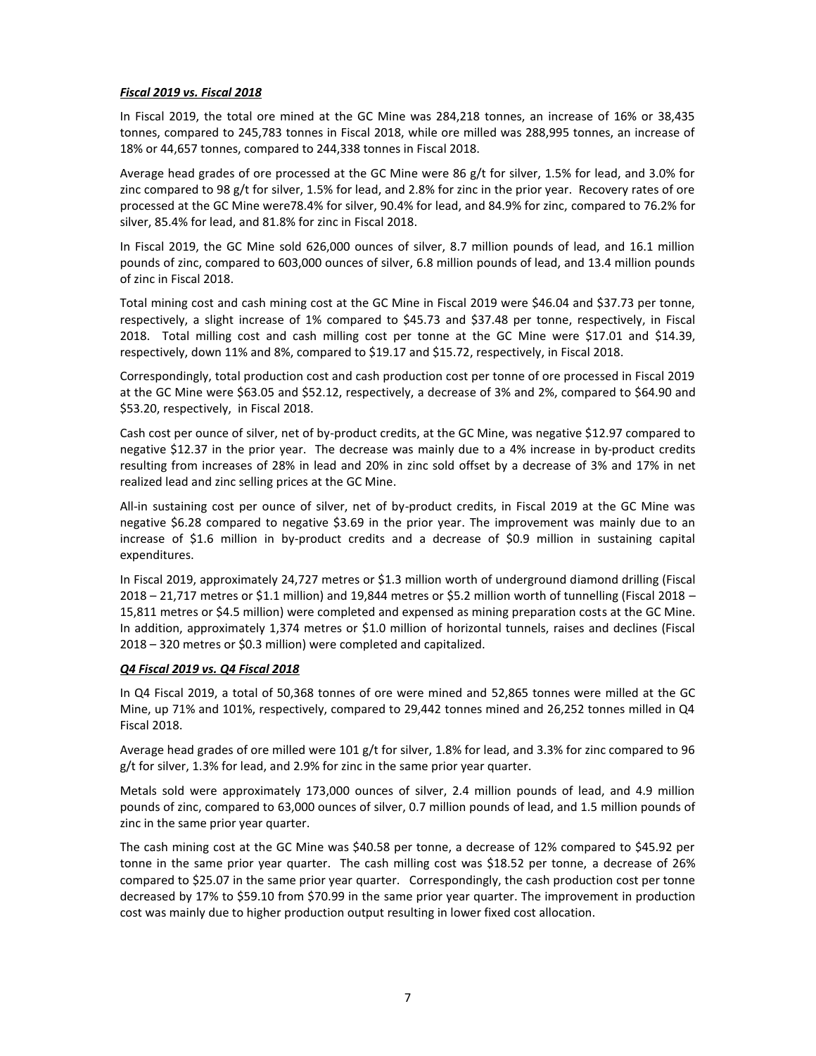### *Fiscal 2019 vs. Fiscal 2018*

In Fiscal 2019, the total ore mined at the GC Mine was 284,218 tonnes, an increase of 16% or 38,435 tonnes, compared to 245,783 tonnes in Fiscal 2018, while ore milled was 288,995 tonnes, an increase of 18% or 44,657 tonnes, compared to 244,338 tonnes in Fiscal 2018.

Average head grades of ore processed at the GC Mine were 86 g/t for silver, 1.5% for lead, and 3.0% for zinc compared to 98 g/t for silver, 1.5% for lead, and 2.8% for zinc in the prior year. Recovery rates of ore processed at the GC Mine were78.4% for silver, 90.4% for lead, and 84.9% for zinc, compared to 76.2% for silver, 85.4% for lead, and 81.8% for zinc in Fiscal 2018.

In Fiscal 2019, the GC Mine sold 626,000 ounces of silver, 8.7 million pounds of lead, and 16.1 million pounds of zinc, compared to 603,000 ounces of silver, 6.8 million pounds of lead, and 13.4 million pounds of zinc in Fiscal 2018.

Total mining cost and cash mining cost at the GC Mine in Fiscal 2019 were \$46.04 and \$37.73 per tonne, respectively, a slight increase of 1% compared to \$45.73 and \$37.48 per tonne, respectively, in Fiscal 2018. Total milling cost and cash milling cost per tonne at the GC Mine were \$17.01 and \$14.39, respectively, down 11% and 8%, compared to \$19.17 and \$15.72, respectively, in Fiscal 2018.

Correspondingly, total production cost and cash production cost per tonne of ore processed in Fiscal 2019 at the GC Mine were \$63.05 and \$52.12, respectively, a decrease of 3% and 2%, compared to \$64.90 and \$53.20, respectively, in Fiscal 2018.

Cash cost per ounce of silver, net of by-product credits, at the GC Mine, was negative \$12.97 compared to negative \$12.37 in the prior year. The decrease was mainly due to a 4% increase in by-product credits resulting from increases of 28% in lead and 20% in zinc sold offset by a decrease of 3% and 17% in net realized lead and zinc selling prices at the GC Mine.

All-in sustaining cost per ounce of silver, net of by-product credits, in Fiscal 2019 at the GC Mine was negative \$6.28 compared to negative \$3.69 in the prior year. The improvement was mainly due to an increase of \$1.6 million in by-product credits and a decrease of \$0.9 million in sustaining capital expenditures.

In Fiscal 2019, approximately 24,727 metres or \$1.3 million worth of underground diamond drilling (Fiscal 2018 – 21,717 metres or \$1.1 million) and 19,844 metres or \$5.2 million worth of tunnelling (Fiscal 2018 – 15,811 metres or \$4.5 million) were completed and expensed as mining preparation costs at the GC Mine. In addition, approximately 1,374 metres or \$1.0 million of horizontal tunnels, raises and declines (Fiscal 2018 – 320 metres or \$0.3 million) were completed and capitalized.

## *Q4 Fiscal 2019 vs. Q4 Fiscal 2018*

In Q4 Fiscal 2019, a total of 50,368 tonnes of ore were mined and 52,865 tonnes were milled at the GC Mine, up 71% and 101%, respectively, compared to 29,442 tonnes mined and 26,252 tonnes milled in Q4 Fiscal 2018.

Average head grades of ore milled were 101 g/t for silver, 1.8% for lead, and 3.3% for zinc compared to 96 g/t for silver, 1.3% for lead, and 2.9% for zinc in the same prior year quarter.

Metals sold were approximately 173,000 ounces of silver, 2.4 million pounds of lead, and 4.9 million pounds of zinc, compared to 63,000 ounces of silver, 0.7 million pounds of lead, and 1.5 million pounds of zinc in the same prior year quarter.

The cash mining cost at the GC Mine was \$40.58 per tonne, a decrease of 12% compared to \$45.92 per tonne in the same prior year quarter. The cash milling cost was \$18.52 per tonne, a decrease of 26% compared to \$25.07 in the same prior year quarter. Correspondingly, the cash production cost per tonne decreased by 17% to \$59.10 from \$70.99 in the same prior year quarter. The improvement in production cost was mainly due to higher production output resulting in lower fixed cost allocation.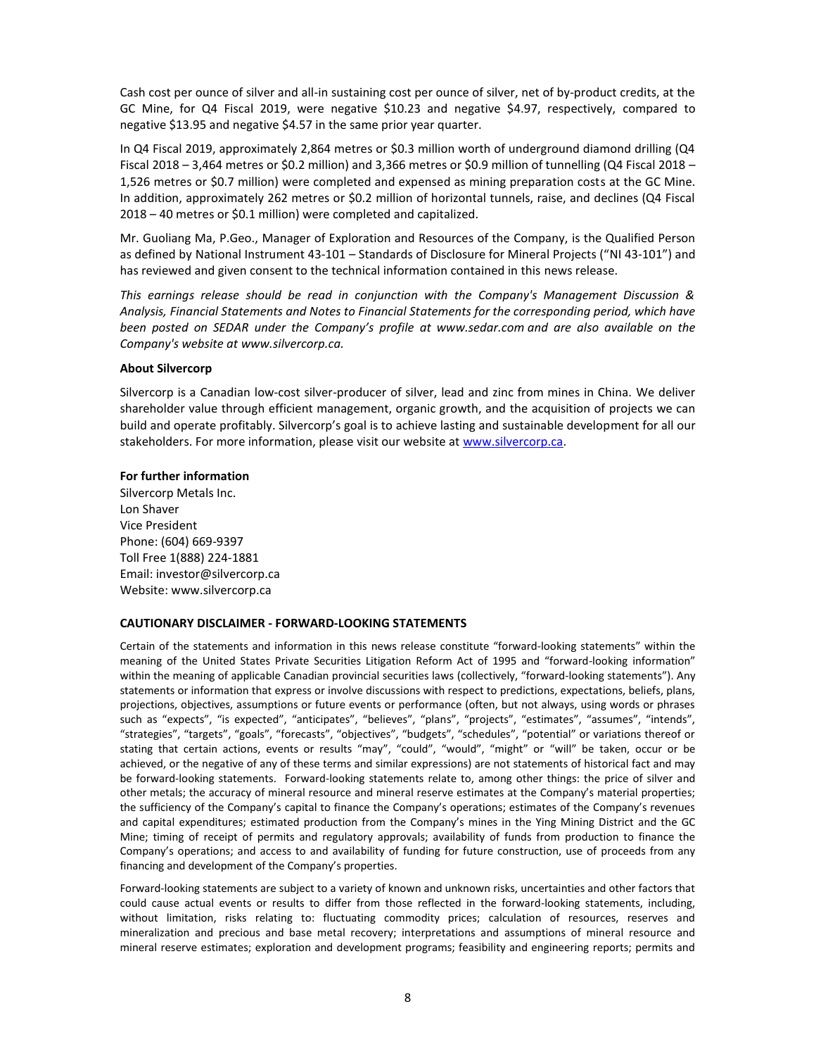Cash cost per ounce of silver and all-in sustaining cost per ounce of silver, net of by‐product credits, at the GC Mine, for Q4 Fiscal 2019, were negative \$10.23 and negative \$4.97, respectively, compared to negative \$13.95 and negative \$4.57 in the same prior year quarter.

In Q4 Fiscal 2019, approximately 2,864 metres or \$0.3 million worth of underground diamond drilling (Q4 Fiscal 2018 – 3,464 metres or \$0.2 million) and 3,366 metres or \$0.9 million of tunnelling (Q4 Fiscal 2018 – 1,526 metres or \$0.7 million) were completed and expensed as mining preparation costs at the GC Mine. In addition, approximately 262 metres or \$0.2 million of horizontal tunnels, raise, and declines (Q4 Fiscal 2018 – 40 metres or \$0.1 million) were completed and capitalized.

Mr. Guoliang Ma, P.Geo., Manager of Exploration and Resources of the Company, is the Qualified Person as defined by National Instrument 43-101 – Standards of Disclosure for Mineral Projects ("NI 43-101") and has reviewed and given consent to the technical information contained in this news release.

*This earnings release should be read in conjunction with the Company's Management Discussion & Analysis, Financial Statements and Notes to Financial Statements for the corresponding period, which have been posted on SEDAR under the Company's profile at www.sedar.com and are also available on the Company's website at www.silvercorp.ca.* 

### **About Silvercorp**

Silvercorp is a Canadian low-cost silver-producer of silver, lead and zinc from mines in China. We deliver shareholder value through efficient management, organic growth, and the acquisition of projects we can build and operate profitably. Silvercorp's goal is to achieve lasting and sustainable development for all our stakeholders. For more information, please visit our website a[t www.silvercorp.ca.](http://www.silvercorp.ca/)

#### **For further information**

Silvercorp Metals Inc. Lon Shaver Vice President Phone: (604) 669-9397 Toll Free 1(888) 224-1881 Email: investor@silvercorp.ca Website: www.silvercorp.ca

#### **CAUTIONARY DISCLAIMER - FORWARD-LOOKING STATEMENTS**

Certain of the statements and information in this news release constitute "forward-looking statements" within the meaning of the United States Private Securities Litigation Reform Act of 1995 and "forward-looking information" within the meaning of applicable Canadian provincial securities laws (collectively, "forward-looking statements"). Any statements or information that express or involve discussions with respect to predictions, expectations, beliefs, plans, projections, objectives, assumptions or future events or performance (often, but not always, using words or phrases such as "expects", "is expected", "anticipates", "believes", "plans", "projects", "estimates", "assumes", "intends", "strategies", "targets", "goals", "forecasts", "objectives", "budgets", "schedules", "potential" or variations thereof or stating that certain actions, events or results "may", "could", "would", "might" or "will" be taken, occur or be achieved, or the negative of any of these terms and similar expressions) are not statements of historical fact and may be forward-looking statements. Forward-looking statements relate to, among other things: the price of silver and other metals; the accuracy of mineral resource and mineral reserve estimates at the Company's material properties; the sufficiency of the Company's capital to finance the Company's operations; estimates of the Company's revenues and capital expenditures; estimated production from the Company's mines in the Ying Mining District and the GC Mine; timing of receipt of permits and regulatory approvals; availability of funds from production to finance the Company's operations; and access to and availability of funding for future construction, use of proceeds from any financing and development of the Company's properties.

Forward-looking statements are subject to a variety of known and unknown risks, uncertainties and other factors that could cause actual events or results to differ from those reflected in the forward-looking statements, including, without limitation, risks relating to: fluctuating commodity prices; calculation of resources, reserves and mineralization and precious and base metal recovery; interpretations and assumptions of mineral resource and mineral reserve estimates; exploration and development programs; feasibility and engineering reports; permits and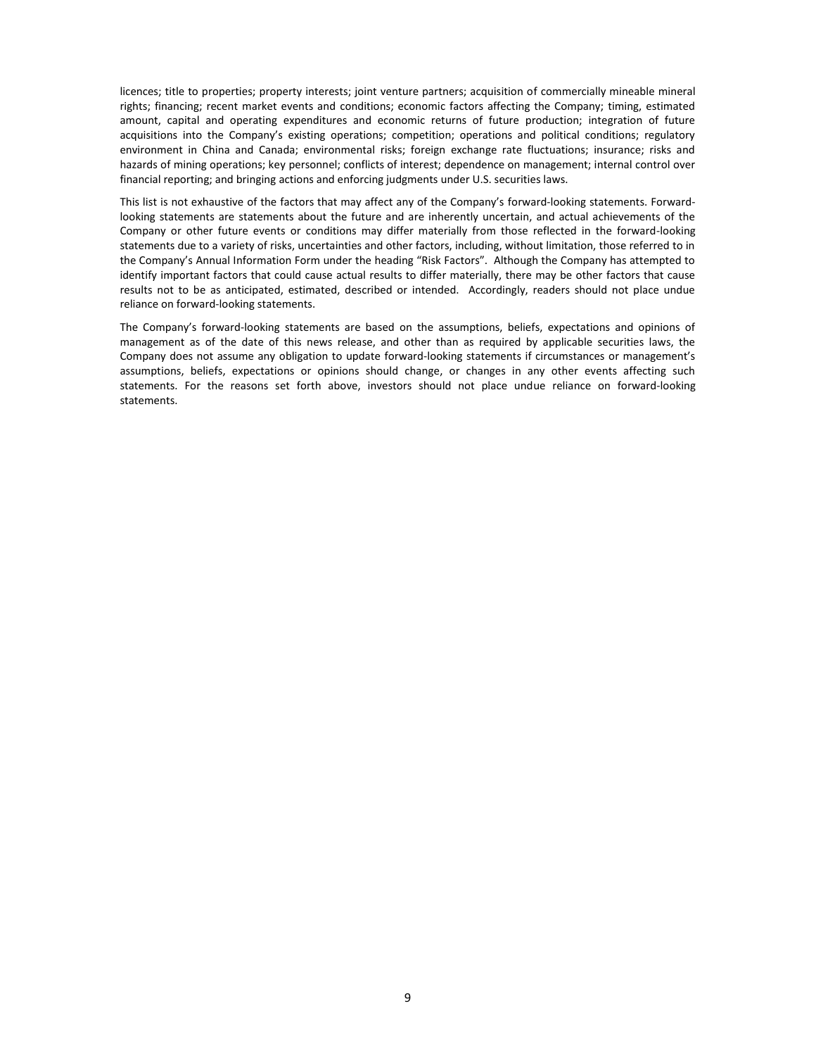licences; title to properties; property interests; joint venture partners; acquisition of commercially mineable mineral rights; financing; recent market events and conditions; economic factors affecting the Company; timing, estimated amount, capital and operating expenditures and economic returns of future production; integration of future acquisitions into the Company's existing operations; competition; operations and political conditions; regulatory environment in China and Canada; environmental risks; foreign exchange rate fluctuations; insurance; risks and hazards of mining operations; key personnel; conflicts of interest; dependence on management; internal control over financial reporting; and bringing actions and enforcing judgments under U.S. securities laws.

This list is not exhaustive of the factors that may affect any of the Company's forward-looking statements. Forwardlooking statements are statements about the future and are inherently uncertain, and actual achievements of the Company or other future events or conditions may differ materially from those reflected in the forward-looking statements due to a variety of risks, uncertainties and other factors, including, without limitation, those referred to in the Company's Annual Information Form under the heading "Risk Factors". Although the Company has attempted to identify important factors that could cause actual results to differ materially, there may be other factors that cause results not to be as anticipated, estimated, described or intended. Accordingly, readers should not place undue reliance on forward-looking statements.

The Company's forward-looking statements are based on the assumptions, beliefs, expectations and opinions of management as of the date of this news release, and other than as required by applicable securities laws, the Company does not assume any obligation to update forward-looking statements if circumstances or management's assumptions, beliefs, expectations or opinions should change, or changes in any other events affecting such statements. For the reasons set forth above, investors should not place undue reliance on forward-looking statements.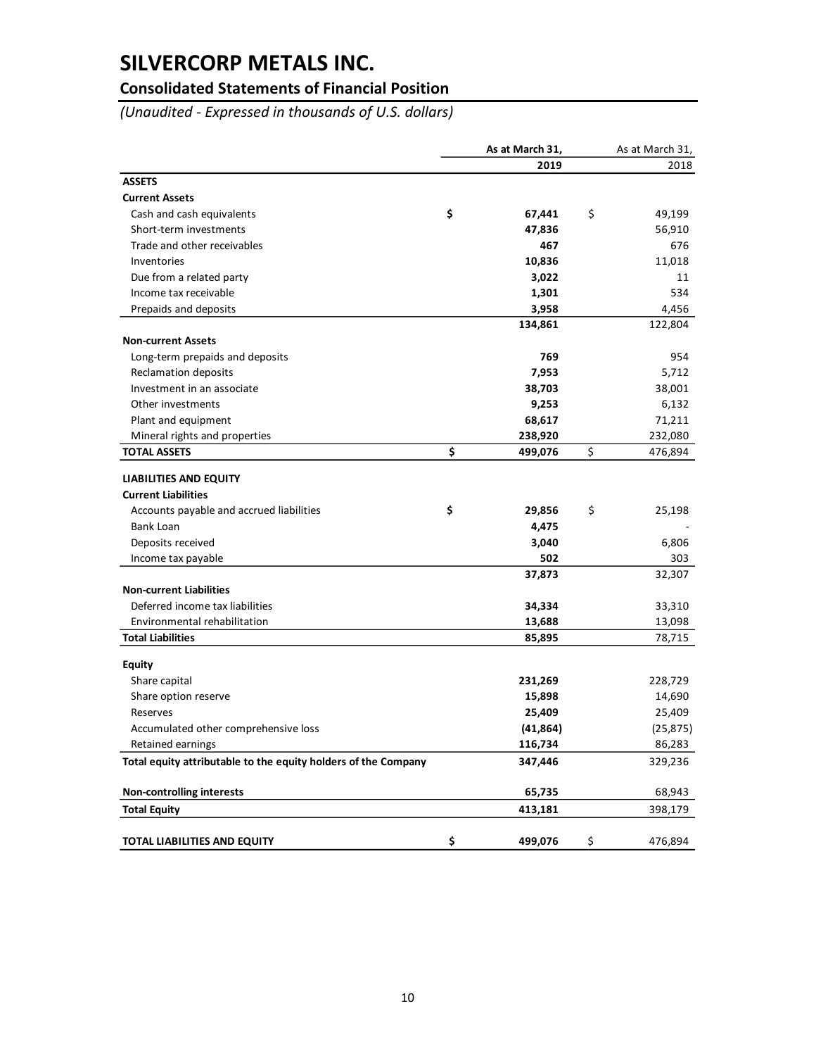# **Consolidated Statements of Financial Position**

*(Unaudited - Expressed in thousands of U.S. dollars)*

|                                                                | As at March 31, | As at March 31, |
|----------------------------------------------------------------|-----------------|-----------------|
|                                                                | 2019            | 2018            |
| <b>ASSETS</b>                                                  |                 |                 |
| <b>Current Assets</b>                                          |                 |                 |
| Cash and cash equivalents                                      | \$<br>67,441    | \$<br>49,199    |
| Short-term investments                                         | 47,836          | 56,910          |
| Trade and other receivables                                    | 467             | 676             |
| Inventories                                                    | 10,836          | 11,018          |
| Due from a related party                                       | 3,022           | 11              |
| Income tax receivable                                          | 1,301           | 534             |
| Prepaids and deposits                                          | 3,958           | 4,456           |
|                                                                | 134,861         | 122,804         |
| <b>Non-current Assets</b>                                      |                 |                 |
| Long-term prepaids and deposits                                | 769             | 954             |
| Reclamation deposits                                           | 7,953           | 5,712           |
| Investment in an associate                                     | 38,703          | 38,001          |
| Other investments                                              | 9,253           | 6,132           |
| Plant and equipment                                            | 68,617          | 71,211          |
| Mineral rights and properties                                  | 238,920         | 232,080         |
| <b>TOTAL ASSETS</b>                                            | \$<br>499,076   | \$<br>476,894   |
|                                                                |                 |                 |
| <b>LIABILITIES AND EQUITY</b><br><b>Current Liabilities</b>    |                 |                 |
| Accounts payable and accrued liabilities                       | \$<br>29,856    | \$<br>25,198    |
| Bank Loan                                                      | 4,475           |                 |
|                                                                |                 | 6,806           |
| Deposits received<br>Income tax payable                        | 3,040<br>502    | 303             |
|                                                                | 37,873          | 32,307          |
| <b>Non-current Liabilities</b>                                 |                 |                 |
| Deferred income tax liabilities                                | 34,334          | 33,310          |
| Environmental rehabilitation                                   | 13,688          | 13,098          |
| <b>Total Liabilities</b>                                       | 85,895          | 78,715          |
|                                                                |                 |                 |
| <b>Equity</b>                                                  |                 |                 |
| Share capital                                                  | 231,269         | 228,729         |
| Share option reserve                                           | 15,898          | 14,690          |
| Reserves                                                       | 25,409          | 25,409          |
| Accumulated other comprehensive loss                           | (41, 864)       | (25, 875)       |
| Retained earnings                                              | 116,734         | 86,283          |
| Total equity attributable to the equity holders of the Company | 347,446         | 329,236         |
| <b>Non-controlling interests</b>                               | 65,735          | 68,943          |
| <b>Total Equity</b>                                            | 413,181         | 398,179         |
|                                                                |                 |                 |
| TOTAL LIABILITIES AND EQUITY                                   | \$<br>499,076   | \$<br>476,894   |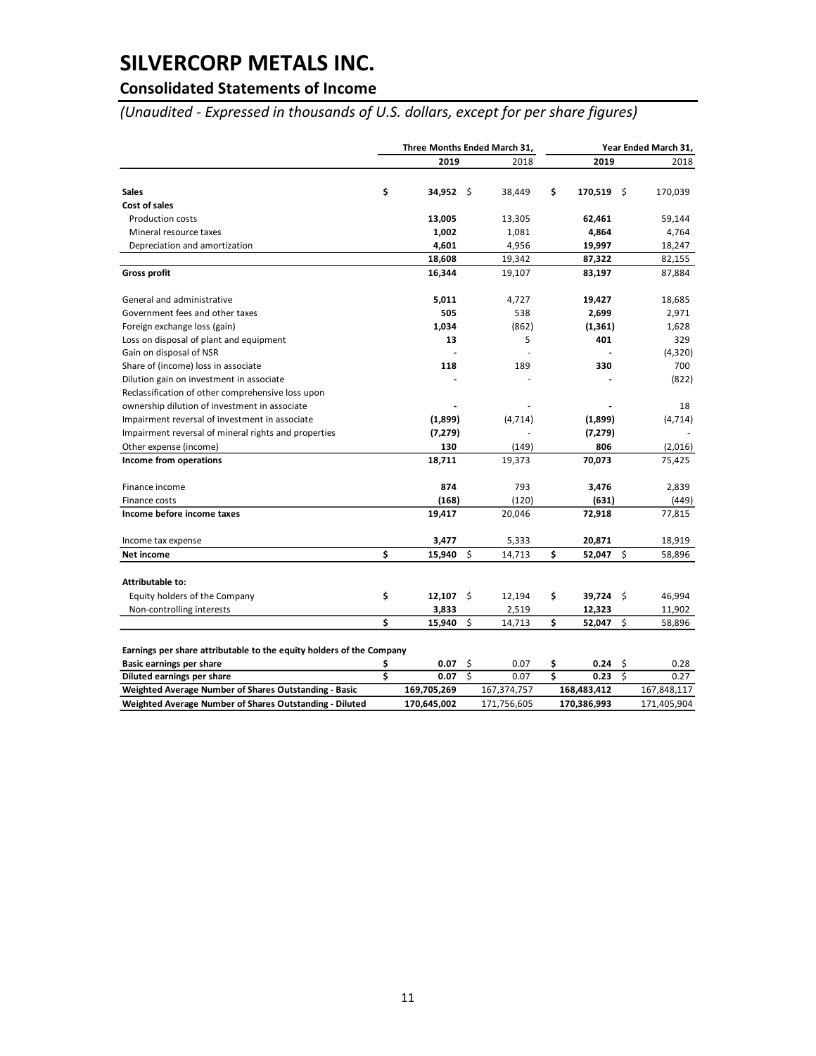# **Consolidated Statements of Income**

*(Unaudited - Expressed in thousands of U.S. dollars, except for per share figures)*

|                                                                      | Three Months Ended March 31, |    | Year Ended March 31, |               |    |             |
|----------------------------------------------------------------------|------------------------------|----|----------------------|---------------|----|-------------|
|                                                                      | 2019                         |    | 2018                 | 2019          |    | 2018        |
|                                                                      |                              |    |                      |               |    |             |
| <b>Sales</b>                                                         | \$<br>$34,952$ \$            |    | 38,449               | \$<br>170,519 | \$ | 170,039     |
| Cost of sales                                                        |                              |    |                      |               |    |             |
| <b>Production costs</b>                                              | 13,005                       |    | 13,305               | 62,461        |    | 59,144      |
| Mineral resource taxes                                               | 1,002                        |    | 1,081                | 4,864         |    | 4,764       |
| Depreciation and amortization                                        | 4,601                        |    | 4,956                | 19,997        |    | 18,247      |
|                                                                      | 18,608                       |    | 19,342               | 87,322        |    | 82,155      |
| <b>Gross profit</b>                                                  | 16,344                       |    | 19,107               | 83,197        |    | 87,884      |
| General and administrative                                           | 5,011                        |    | 4,727                | 19,427        |    | 18,685      |
| Government fees and other taxes                                      | 505                          |    | 538                  | 2,699         |    | 2,971       |
| Foreign exchange loss (gain)                                         | 1,034                        |    | (862)                | (1, 361)      |    | 1,628       |
| Loss on disposal of plant and equipment                              | 13                           |    | 5                    | 401           |    | 329         |
| Gain on disposal of NSR                                              |                              |    |                      |               |    | (4,320)     |
| Share of (income) loss in associate                                  | 118                          |    | 189                  | 330           |    | 700         |
| Dilution gain on investment in associate                             |                              |    |                      |               |    | (822)       |
| Reclassification of other comprehensive loss upon                    |                              |    |                      |               |    |             |
| ownership dilution of investment in associate                        |                              |    |                      |               |    | 18          |
| Impairment reversal of investment in associate                       | (1,899)                      |    | (4, 714)             | (1,899)       |    | (4, 714)    |
| Impairment reversal of mineral rights and properties                 | (7,279)                      |    |                      | (7,279)       |    |             |
| Other expense (income)                                               | 130                          |    | (149)                | 806           |    | (2,016)     |
| Income from operations                                               | 18,711                       |    | 19,373               | 70,073        |    | 75,425      |
| Finance income                                                       | 874                          |    | 793                  | 3,476         |    | 2,839       |
| Finance costs                                                        | (168)                        |    | (120)                | (631)         |    | (449)       |
| Income before income taxes                                           | 19,417                       |    | 20,046               | 72,918        |    | 77,815      |
| Income tax expense                                                   | 3,477                        |    | 5,333                | 20,871        |    | 18,919      |
| Net income                                                           | \$<br>15,940                 | \$ | 14,713               | \$<br>52,047  | \$ | 58,896      |
| Attributable to:                                                     |                              |    |                      |               |    |             |
| Equity holders of the Company                                        | \$<br>12,107                 | \$ | 12,194               | \$<br>39,724  | \$ | 46,994      |
| Non-controlling interests                                            | 3,833                        |    | 2,519                | 12,323        |    | 11,902      |
|                                                                      | \$<br>15,940                 | Ś. | 14,713               | \$<br>52,047  | Ś. | 58,896      |
| Earnings per share attributable to the equity holders of the Company |                              |    |                      |               |    |             |
| <b>Basic earnings per share</b>                                      | \$<br>0.07                   | \$ | 0.07                 | \$<br>0.24    | \$ | 0.28        |
| Diluted earnings per share                                           | \$<br>0.07                   | Ś  | 0.07                 | \$<br>0.23    | Ś  | 0.27        |
| Weighted Average Number of Shares Outstanding - Basic                | 169,705,269                  |    | 167,374,757          | 168,483,412   |    | 167,848,117 |

**Weighted Average Number of Shares Outstanding - Diluted 170,645,002** 171,756,605 **170,386,993** 171,405,904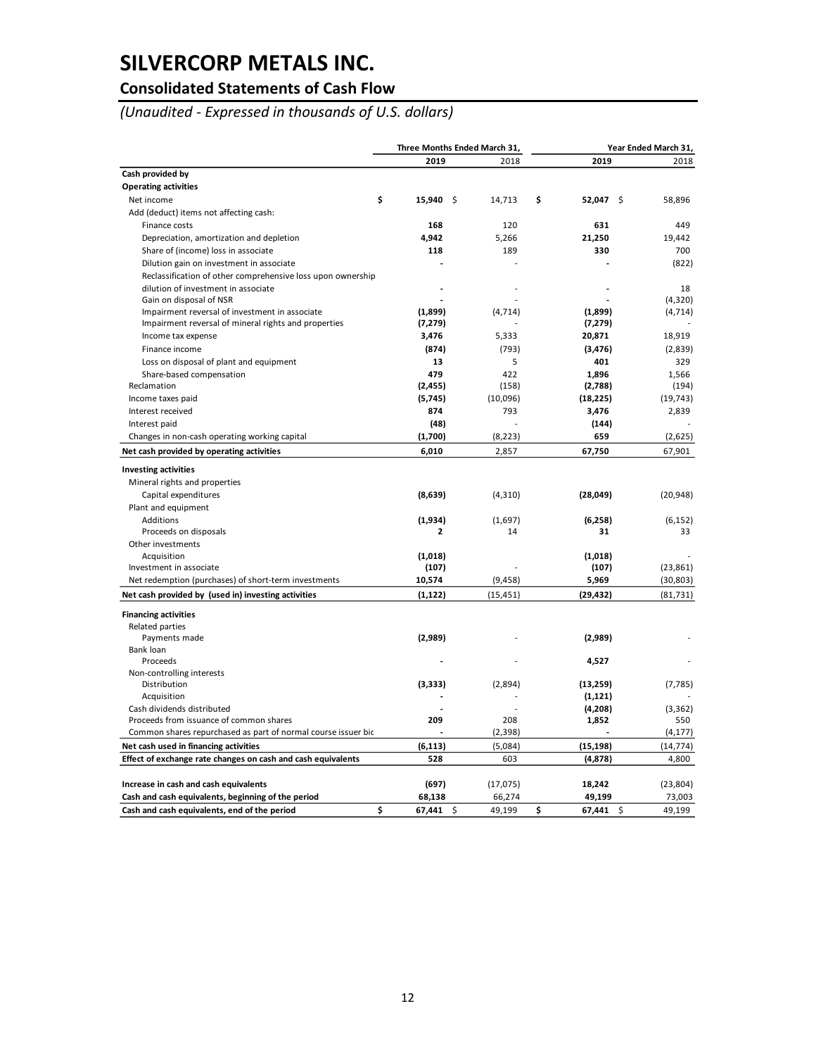# **Consolidated Statements of Cash Flow**

*(Unaudited - Expressed in thousands of U.S. dollars)*

|                                                               |    | Three Months Ended March 31, |    |           |    | Year Ended March 31, |      |                     |
|---------------------------------------------------------------|----|------------------------------|----|-----------|----|----------------------|------|---------------------|
|                                                               |    | 2019                         |    | 2018      |    | 2019                 |      | 2018                |
| Cash provided by                                              |    |                              |    |           |    |                      |      |                     |
| <b>Operating activities</b>                                   |    |                              |    |           |    |                      |      |                     |
| Net income                                                    | \$ | 15,940                       | \$ | 14,713    | \$ | 52,047               | - \$ | 58,896              |
| Add (deduct) items not affecting cash:                        |    |                              |    |           |    |                      |      |                     |
| Finance costs                                                 |    | 168                          |    | 120       |    | 631                  |      | 449                 |
| Depreciation, amortization and depletion                      |    | 4,942                        |    | 5,266     |    | 21,250               |      | 19,442              |
| Share of (income) loss in associate                           |    | 118                          |    | 189       |    | 330                  |      | 700                 |
| Dilution gain on investment in associate                      |    |                              |    |           |    |                      |      | (822)               |
| Reclassification of other comprehensive loss upon ownership   |    |                              |    |           |    |                      |      |                     |
| dilution of investment in associate                           |    |                              |    |           |    |                      |      | 18                  |
| Gain on disposal of NSR                                       |    |                              |    |           |    |                      |      | (4,320)             |
| Impairment reversal of investment in associate                |    | (1,899)                      |    | (4, 714)  |    | (1,899)              |      | (4, 714)            |
| Impairment reversal of mineral rights and properties          |    | (7, 279)                     |    |           |    | (7, 279)             |      |                     |
| Income tax expense                                            |    | 3,476                        |    | 5,333     |    | 20,871               |      | 18,919              |
| Finance income                                                |    | (874)                        |    | (793)     |    | (3, 476)             |      | (2,839)             |
| Loss on disposal of plant and equipment                       |    | 13                           |    | 5         |    | 401                  |      | 329                 |
| Share-based compensation                                      |    | 479                          |    | 422       |    | 1,896                |      | 1,566               |
| Reclamation                                                   |    | (2, 455)                     |    | (158)     |    | (2,788)              |      | (194)               |
| Income taxes paid                                             |    | (5,745)                      |    | (10,096)  |    | (18, 225)            |      | (19, 743)           |
| Interest received                                             |    | 874                          |    | 793       |    | 3,476                |      | 2,839               |
| Interest paid                                                 |    | (48)                         |    |           |    | (144)                |      |                     |
|                                                               |    |                              |    |           |    |                      |      |                     |
| Changes in non-cash operating working capital                 |    | (1,700)                      |    | (8, 223)  |    | 659                  |      | (2,625)             |
| Net cash provided by operating activities                     |    | 6,010                        |    | 2,857     |    | 67,750               |      | 67,901              |
| <b>Investing activities</b>                                   |    |                              |    |           |    |                      |      |                     |
| Mineral rights and properties                                 |    |                              |    |           |    |                      |      |                     |
| Capital expenditures                                          |    | (8,639)                      |    | (4, 310)  |    | (28, 049)            |      | (20, 948)           |
| Plant and equipment                                           |    |                              |    |           |    |                      |      |                     |
| Additions                                                     |    | (1,934)                      |    | (1,697)   |    | (6,258)              |      | (6, 152)            |
| Proceeds on disposals                                         |    | 2                            |    | 14        |    | 31                   |      | 33                  |
| Other investments                                             |    |                              |    |           |    |                      |      |                     |
| Acquisition                                                   |    | (1,018)                      |    |           |    | (1,018)              |      |                     |
| Investment in associate                                       |    | (107)                        |    |           |    | (107)                |      | (23, 861)           |
| Net redemption (purchases) of short-term investments          |    | 10,574                       |    | (9, 458)  |    | 5,969                |      | (30, 803)           |
| Net cash provided by (used in) investing activities           |    | (1, 122)                     |    | (15, 451) |    | (29, 432)            |      | (81, 731)           |
|                                                               |    |                              |    |           |    |                      |      |                     |
| <b>Financing activities</b>                                   |    |                              |    |           |    |                      |      |                     |
| Related parties                                               |    |                              |    |           |    |                      |      |                     |
| Payments made                                                 |    | (2,989)                      |    |           |    | (2,989)              |      |                     |
| Bank loan                                                     |    |                              |    |           |    |                      |      |                     |
| Proceeds                                                      |    |                              |    |           |    | 4,527                |      |                     |
| Non-controlling interests<br>Distribution                     |    | (3, 333)                     |    | (2,894)   |    | (13, 259)            |      | (7, 785)            |
| Acquisition                                                   |    |                              |    |           |    | (1, 121)             |      |                     |
| Cash dividends distributed                                    |    |                              |    |           |    | (4,208)              |      | (3, 362)            |
| Proceeds from issuance of common shares                       |    | 209                          |    | 208       |    | 1,852                |      | 550                 |
| Common shares repurchased as part of normal course issuer bic |    |                              |    | (2, 398)  |    |                      |      | (4, 177)            |
| Net cash used in financing activities                         |    | (6, 113)                     |    | (5,084)   |    | (15, 198)            |      | (14, 774)           |
| Effect of exchange rate changes on cash and cash equivalents  |    | 528                          |    | 603       |    | (4, 878)             |      | 4,800               |
|                                                               |    |                              |    |           |    |                      |      |                     |
|                                                               |    | (697)                        |    | (17,075)  |    |                      |      |                     |
| Increase in cash and cash equivalents                         |    |                              |    |           |    | 18,242               |      | (23, 804)<br>73,003 |
| Cash and cash equivalents, beginning of the period            | Ś  | 68,138                       |    | 66,274    | Ś  | 49,199               |      |                     |
| Cash and cash equivalents, end of the period                  |    | 67,441                       | \$ | 49,199    |    | 67,441               | \$   | 49,199              |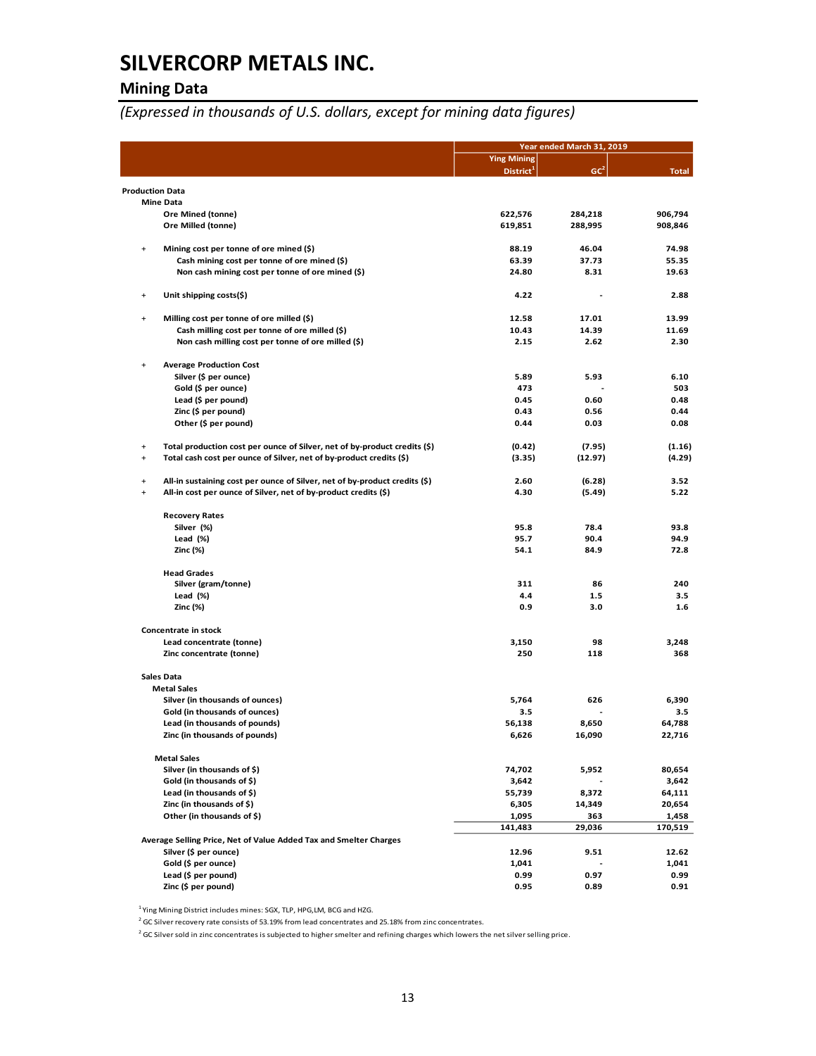# **Mining Data**

*(Expressed in thousands of U.S. dollars, except for mining data figures)*

|                                                                                         |                       | Year ended March 31, 2019 |                |
|-----------------------------------------------------------------------------------------|-----------------------|---------------------------|----------------|
|                                                                                         | <b>Ying Mining</b>    |                           |                |
|                                                                                         | District <sup>1</sup> | GC <sup>2</sup>           | <b>Total</b>   |
| <b>Production Data</b>                                                                  |                       |                           |                |
| <b>Mine Data</b>                                                                        |                       |                           |                |
| Ore Mined (tonne)                                                                       | 622,576               | 284,218                   | 906,794        |
| Ore Milled (tonne)                                                                      | 619,851               | 288,995                   | 908,846        |
| Mining cost per tonne of ore mined (\$)<br>$\ddot{}$                                    | 88.19                 | 46.04                     | 74.98          |
| Cash mining cost per tonne of ore mined (\$)                                            | 63.39                 | 37.73                     | 55.35          |
| Non cash mining cost per tonne of ore mined (\$)                                        | 24.80                 | 8.31                      | 19.63          |
| Unit shipping costs(\$)<br>$\ddot{}$                                                    | 4.22                  |                           | 2.88           |
|                                                                                         |                       |                           |                |
| Milling cost per tonne of ore milled (\$)<br>$\ddot{}$                                  | 12.58                 | 17.01                     | 13.99          |
| Cash milling cost per tonne of ore milled (\$)                                          | 10.43                 | 14.39<br>2.62             | 11.69<br>2.30  |
| Non cash milling cost per tonne of ore milled (\$)                                      | 2.15                  |                           |                |
| <b>Average Production Cost</b><br>$\ddot{}$                                             |                       |                           |                |
| Silver (\$ per ounce)                                                                   | 5.89                  | 5.93                      | 6.10           |
| Gold (\$ per ounce)                                                                     | 473                   |                           | 503            |
| Lead (\$ per pound)                                                                     | 0.45                  | 0.60                      | 0.48           |
| Zinc (\$ per pound)                                                                     | 0.43                  | 0.56                      | 0.44           |
| Other (\$ per pound)                                                                    | 0.44                  | 0.03                      | 0.08           |
| Total production cost per ounce of Silver, net of by-product credits (\$)<br>$\ddot{}$  | (0.42)                | (7.95)                    | (1.16)         |
| Total cash cost per ounce of Silver, net of by-product credits (\$)<br>$\ddot{}$        | (3.35)                | (12.97)                   | (4.29)         |
| All-in sustaining cost per ounce of Silver, net of by-product credits (\$)<br>$\ddot{}$ | 2.60                  | (6.28)                    | 3.52           |
| All-in cost per ounce of Silver, net of by-product credits (\$)<br>$\ddot{}$            | 4.30                  | (5.49)                    | 5.22           |
|                                                                                         |                       |                           |                |
| <b>Recovery Rates</b>                                                                   |                       |                           |                |
| Silver (%)                                                                              | 95.8                  | 78.4                      | 93.8           |
| Lead (%)<br>Zinc (%)                                                                    | 95.7<br>54.1          | 90.4<br>84.9              | 94.9<br>72.8   |
|                                                                                         |                       |                           |                |
| <b>Head Grades</b>                                                                      |                       |                           |                |
| Silver (gram/tonne)                                                                     | 311                   | 86                        | 240            |
| Lead (%)                                                                                | 4.4                   | 1.5                       | 3.5            |
| Zinc (%)                                                                                | 0.9                   | 3.0                       | 1.6            |
| Concentrate in stock                                                                    |                       |                           |                |
| Lead concentrate (tonne)                                                                | 3,150                 | 98                        | 3,248          |
| Zinc concentrate (tonne)                                                                | 250                   | 118                       | 368            |
| <b>Sales Data</b>                                                                       |                       |                           |                |
| <b>Metal Sales</b>                                                                      |                       |                           |                |
| Silver (in thousands of ounces)                                                         | 5,764                 | 626                       | 6,390          |
| Gold (in thousands of ounces)                                                           | 3.5                   |                           | 3.5            |
| Lead (in thousands of pounds)                                                           | 56,138                | 8,650                     | 64,788         |
| Zinc (in thousands of pounds)                                                           | 6,626                 | 16,090                    | 22,716         |
| <b>Metal Sales</b>                                                                      |                       |                           |                |
| Silver (in thousands of \$)                                                             | 74,702                | 5,952                     | 80,654         |
| Gold (in thousands of \$)                                                               | 3,642                 |                           | 3,642          |
| Lead (in thousands of \$)                                                               | 55,739                | 8,372                     | 64,111         |
| Zinc (in thousands of \$)                                                               | 6,305                 | 14,349                    | 20,654         |
| Other (in thousands of \$)                                                              | 1,095                 | 363                       | 1,458          |
|                                                                                         | 141,483               | 29,036                    | 170,519        |
| Average Selling Price, Net of Value Added Tax and Smelter Charges                       |                       |                           |                |
| Silver (\$ per ounce)<br>Gold (\$ per ounce)                                            | 12.96<br>1,041        | 9.51                      | 12.62<br>1,041 |
| Lead (\$ per pound)                                                                     | 0.99                  | 0.97                      | 0.99           |
| Zinc (\$ per pound)                                                                     | 0.95                  | 0.89                      | 0.91           |
|                                                                                         |                       |                           |                |

 $1$ Ying Mining District includes mines: SGX, TLP, HPG, LM, BCG and HZG.

<sup>2</sup> GC Silver recovery rate consists of 53.19% from lead concentrates and 25.18% from zinc concentrates.

 $^2$  GC Silver sold in zinc concentrates is subjected to higher smelter and refining charges which lowers the net silver selling price.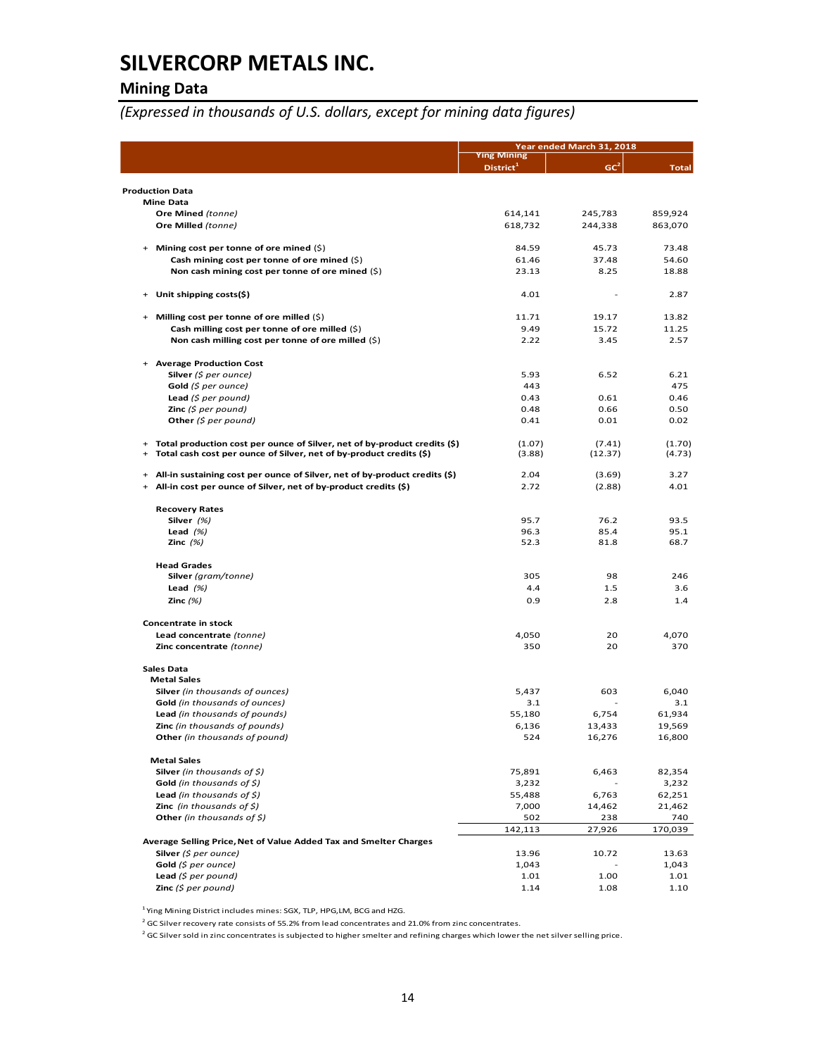# **Mining Data**

*(Expressed in thousands of U.S. dollars, except for mining data figures)*

|                                                                                                                                                                 |                                             | Year ended March 31, 2018 |                  |
|-----------------------------------------------------------------------------------------------------------------------------------------------------------------|---------------------------------------------|---------------------------|------------------|
|                                                                                                                                                                 | <b>Ying Mining</b><br>District <sup>1</sup> | GC <sup>2</sup>           | <b>Total</b>     |
| <b>Production Data</b>                                                                                                                                          |                                             |                           |                  |
| <b>Mine Data</b>                                                                                                                                                |                                             |                           |                  |
| Ore Mined (tonne)                                                                                                                                               | 614,141                                     | 245,783                   | 859,924          |
| Ore Milled (tonne)                                                                                                                                              | 618,732                                     | 244,338                   | 863,070          |
| Mining cost per tonne of ore mined $(5)$<br>$\ddot{}$                                                                                                           | 84.59                                       | 45.73                     | 73.48            |
| Cash mining cost per tonne of ore mined $(\xi)$                                                                                                                 | 61.46                                       | 37.48                     | 54.60            |
| Non cash mining cost per tonne of ore mined $(\xi)$                                                                                                             | 23.13                                       | 8.25                      | 18.88            |
| Unit shipping costs(\$)                                                                                                                                         | 4.01                                        |                           | 2.87             |
| Milling cost per tonne of ore milled $(\xi)$<br>$+$                                                                                                             | 11.71                                       | 19.17                     | 13.82            |
| Cash milling cost per tonne of ore milled (\$)                                                                                                                  | 9.49                                        | 15.72                     | 11.25            |
| Non cash milling cost per tonne of ore milled $(\xi)$                                                                                                           | 2.22                                        | 3.45                      | 2.57             |
| + Average Production Cost                                                                                                                                       |                                             |                           |                  |
| Silver (\$ per ounce)                                                                                                                                           | 5.93                                        | 6.52                      | 6.21             |
| Gold $(\xi$ per ounce)<br>Lead $(5$ per pound)                                                                                                                  | 443<br>0.43                                 |                           | 475<br>0.46      |
| <b>Zinc</b> (\$ per pound)                                                                                                                                      | 0.48                                        | 0.61<br>0.66              | 0.50             |
| Other (\$ per pound)                                                                                                                                            | 0.41                                        | 0.01                      | 0.02             |
|                                                                                                                                                                 |                                             |                           |                  |
| + Total production cost per ounce of Silver, net of by-product credits (\$)<br>Total cash cost per ounce of Silver, net of by-product credits (\$)<br>$\ddot{}$ | (1.07)<br>(3.88)                            | (7.41)<br>(12.37)         | (1.70)<br>(4.73) |
| All-in sustaining cost per ounce of Silver, net of by-product credits (\$)<br>$+$                                                                               | 2.04                                        | (3.69)                    | 3.27             |
| All-in cost per ounce of Silver, net of by-product credits (\$)<br>$\ddot{}$                                                                                    | 2.72                                        | (2.88)                    | 4.01             |
| <b>Recovery Rates</b>                                                                                                                                           |                                             |                           |                  |
| Silver $(%)$                                                                                                                                                    | 95.7                                        | 76.2                      | 93.5             |
| Lead $(%)$<br>Zinc $(%)$                                                                                                                                        | 96.3<br>52.3                                | 85.4<br>81.8              | 95.1<br>68.7     |
| <b>Head Grades</b>                                                                                                                                              |                                             |                           |                  |
| Silver (gram/tonne)                                                                                                                                             | 305                                         | 98                        | 246              |
| Lead $(%)$                                                                                                                                                      | 4.4                                         | 1.5                       | 3.6              |
| Zinc $(%)$                                                                                                                                                      | 0.9                                         | 2.8                       | 1.4              |
| Concentrate in stock                                                                                                                                            |                                             |                           |                  |
| Lead concentrate (tonne)<br>Zinc concentrate (tonne)                                                                                                            | 4,050<br>350                                | 20<br>20                  | 4,070<br>370     |
|                                                                                                                                                                 |                                             |                           |                  |
| <b>Sales Data</b><br><b>Metal Sales</b>                                                                                                                         |                                             |                           |                  |
| Silver (in thousands of ounces)                                                                                                                                 | 5,437                                       | 603                       | 6,040            |
| Gold (in thousands of ounces)                                                                                                                                   | 3.1                                         |                           | 3.1              |
| Lead (in thousands of pounds)                                                                                                                                   | 55,180                                      | 6,754                     | 61,934           |
| Zinc (in thousands of pounds)                                                                                                                                   | 6,136                                       | 13,433                    | 19,569           |
| Other (in thousands of pound)                                                                                                                                   | 524                                         | 16,276                    | 16,800           |
| <b>Metal Sales</b>                                                                                                                                              |                                             |                           |                  |
| Silver (in thousands of \$)                                                                                                                                     | 75,891                                      | 6,463                     | 82,354           |
| Gold (in thousands of $\zeta$ )                                                                                                                                 | 3,232                                       |                           | 3,232            |
| Lead (in thousands of $$$ )                                                                                                                                     | 55,488                                      | 6,763                     | 62,251           |
| <b>Zinc</b> (in thousands of $\zeta$ )                                                                                                                          | 7,000                                       | 14,462                    | 21,462           |
| Other (in thousands of \$)                                                                                                                                      | 502<br>142,113                              | 238<br>27,926             | 740<br>170,039   |
| Average Selling Price, Net of Value Added Tax and Smelter Charges                                                                                               |                                             |                           |                  |
| Silver (\$ per ounce)                                                                                                                                           | 13.96                                       | 10.72                     | 13.63            |
| Gold $(5$ per ounce)                                                                                                                                            | 1,043                                       |                           | 1,043            |
| Lead $(5$ per pound)                                                                                                                                            | 1.01                                        | 1.00                      | 1.01             |
| <b>Zinc</b> (\$ per pound)                                                                                                                                      | 1.14                                        | 1.08                      | 1.10             |

<sup>1</sup> Ying Mining District includes mines: SGX, TLP, HPG, LM, BCG and HZG.

 $^2$  GC Silver recovery rate consists of 55.2% from lead concentrates and 21.0% from zinc concentrates.

 $^2$  GC Silver sold in zinc concentrates is subjected to higher smelter and refining charges which lower the net silver selling price.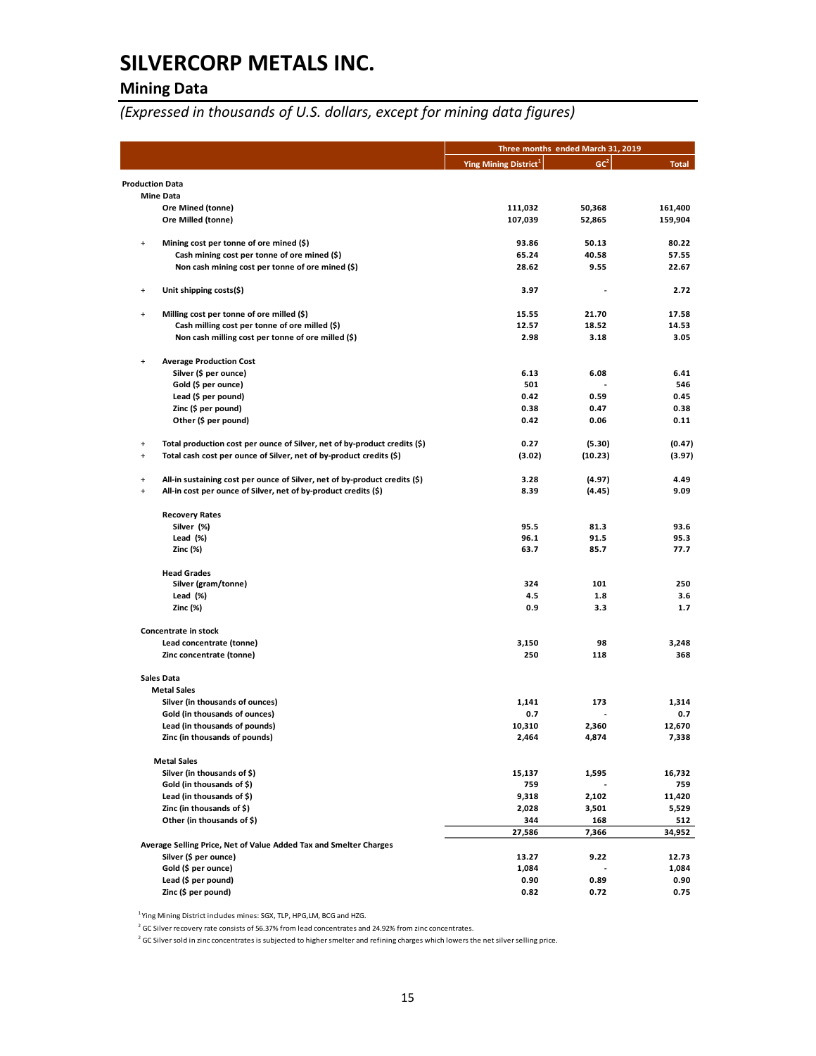# **Mining Data**

*(Expressed in thousands of U.S. dollars, except for mining data figures)*

|                                  |                                                                            |                              | Three months ended March 31, 2019 |                 |
|----------------------------------|----------------------------------------------------------------------------|------------------------------|-----------------------------------|-----------------|
|                                  |                                                                            | <b>Ying Mining District1</b> | GC <sup>2</sup>                   | <b>Total</b>    |
|                                  | <b>Production Data</b>                                                     |                              |                                   |                 |
|                                  | <b>Mine Data</b>                                                           |                              |                                   |                 |
|                                  | Ore Mined (tonne)                                                          | 111,032                      | 50,368                            | 161,400         |
|                                  | Ore Milled (tonne)                                                         | 107,039                      | 52,865                            | 159,904         |
| $\ddot{}$                        | Mining cost per tonne of ore mined (\$)                                    | 93.86                        | 50.13                             | 80.22           |
|                                  | Cash mining cost per tonne of ore mined (\$)                               | 65.24                        | 40.58                             | 57.55           |
|                                  | Non cash mining cost per tonne of ore mined (\$)                           | 28.62                        | 9.55                              | 22.67           |
| $\ddot{}$                        | Unit shipping costs(\$)                                                    | 3.97                         |                                   | 2.72            |
| $\ddot{}$                        | Milling cost per tonne of ore milled (\$)                                  | 15.55                        | 21.70                             | 17.58           |
|                                  | Cash milling cost per tonne of ore milled (\$)                             | 12.57                        | 18.52                             | 14.53           |
|                                  | Non cash milling cost per tonne of ore milled (\$)                         | 2.98                         | 3.18                              | 3.05            |
|                                  | <b>Average Production Cost</b>                                             |                              |                                   |                 |
|                                  | Silver (\$ per ounce)                                                      | 6.13                         | 6.08                              | 6.41            |
|                                  | Gold (\$ per ounce)                                                        | 501                          |                                   | 546             |
|                                  | Lead (\$ per pound)                                                        | 0.42                         | 0.59                              | 0.45            |
|                                  | Zinc (\$ per pound)                                                        | 0.38                         | 0.47                              | 0.38            |
|                                  | Other (\$ per pound)                                                       | 0.42                         | 0.06                              | 0.11            |
| $\begin{array}{c} + \end{array}$ | Total production cost per ounce of Silver, net of by-product credits (\$)  | 0.27                         | (5.30)                            | (0.47)          |
| $\ddot{}$                        | Total cash cost per ounce of Silver, net of by-product credits (\$)        | (3.02)                       | (10.23)                           | (3.97)          |
| $\ddot{}$                        | All-in sustaining cost per ounce of Silver, net of by-product credits (\$) | 3.28                         | (4.97)                            | 4.49            |
| $\ddot{}$                        | All-in cost per ounce of Silver, net of by-product credits (\$)            | 8.39                         | (4.45)                            | 9.09            |
|                                  | <b>Recovery Rates</b>                                                      |                              |                                   |                 |
|                                  | Silver (%)                                                                 | 95.5                         | 81.3                              | 93.6            |
|                                  | Lead (%)                                                                   | 96.1                         | 91.5                              | 95.3            |
|                                  | Zinc (%)                                                                   | 63.7                         | 85.7                              | 77.7            |
|                                  | <b>Head Grades</b>                                                         |                              |                                   |                 |
|                                  | Silver (gram/tonne)                                                        | 324                          | 101                               | 250             |
|                                  | Lead $(\%)$                                                                | 4.5                          | 1.8                               | 3.6             |
|                                  | Zinc (%)                                                                   | 0.9                          | 3.3                               | 1.7             |
|                                  | Concentrate in stock                                                       |                              |                                   |                 |
|                                  | Lead concentrate (tonne)                                                   | 3,150                        | 98                                | 3,248           |
|                                  | Zinc concentrate (tonne)                                                   | 250                          | 118                               | 368             |
|                                  | <b>Sales Data</b>                                                          |                              |                                   |                 |
|                                  | <b>Metal Sales</b>                                                         |                              |                                   |                 |
|                                  | Silver (in thousands of ounces)                                            | 1,141                        | 173                               | 1,314           |
|                                  | Gold (in thousands of ounces)                                              | 0.7                          |                                   | 0.7             |
|                                  | Lead (in thousands of pounds)<br>Zinc (in thousands of pounds)             | 10,310<br>2,464              | 2,360<br>4,874                    | 12,670<br>7,338 |
|                                  | <b>Metal Sales</b>                                                         |                              |                                   |                 |
|                                  | Silver (in thousands of \$)                                                | 15,137                       | 1,595                             | 16,732          |
|                                  | Gold (in thousands of \$)                                                  | 759                          |                                   | 759             |
|                                  | Lead (in thousands of \$)                                                  | 9,318                        | 2,102                             | 11,420          |
|                                  | Zinc (in thousands of \$)                                                  | 2,028                        | 3,501                             | 5,529           |
|                                  | Other (in thousands of \$)                                                 | 344                          | 168                               | 512             |
|                                  |                                                                            | 27,586                       | 7,366                             | 34,952          |
|                                  | Average Selling Price, Net of Value Added Tax and Smelter Charges          |                              |                                   |                 |
|                                  | Silver (\$ per ounce)                                                      | 13.27                        | 9.22                              | 12.73           |
|                                  | Gold (\$ per ounce)                                                        | 1,084                        |                                   | 1,084           |
|                                  | Lead (\$ per pound)                                                        | 0.90                         | 0.89                              | 0.90            |
|                                  | Zinc (\$ per pound)                                                        | 0.82                         | 0.72                              | 0.75            |

 $<sup>1</sup>$  Ying Mining District includes mines: SGX, TLP, HPG, LM, BCG and HZG.</sup>

<sup>2</sup> GC Silver recovery rate consists of 56.37% from lead concentrates and 24.92% from zinc concentrates.

 $^2$  GC Silver sold in zinc concentrates is subjected to higher smelter and refining charges which lowers the net silver selling price.